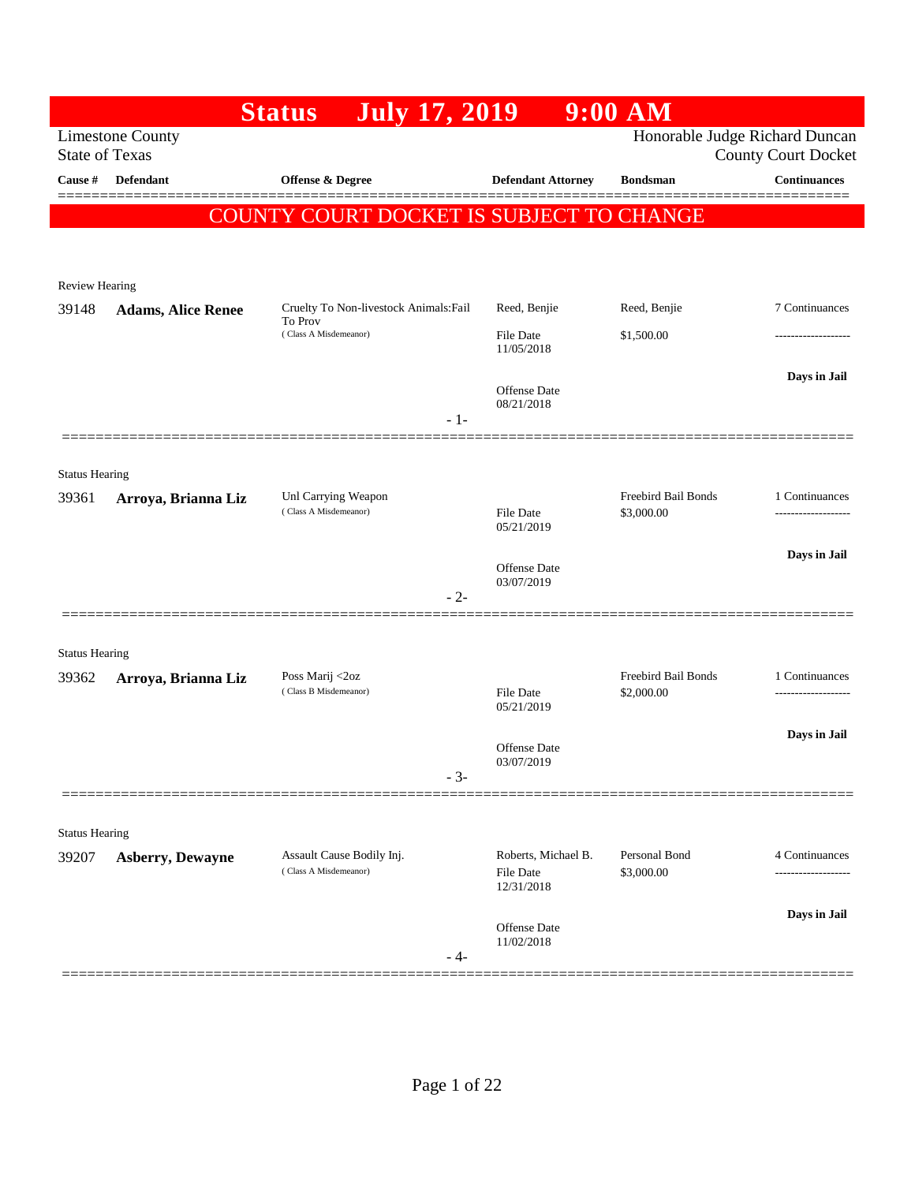|                                |                                                  | <b>July 17, 2019</b><br><b>Status</b>                                      |                                                       | $9:00$ AM                   |                                                              |
|--------------------------------|--------------------------------------------------|----------------------------------------------------------------------------|-------------------------------------------------------|-----------------------------|--------------------------------------------------------------|
|                                | <b>Limestone County</b><br><b>State of Texas</b> |                                                                            |                                                       |                             | Honorable Judge Richard Duncan<br><b>County Court Docket</b> |
| Cause #                        | <b>Defendant</b>                                 | <b>Offense &amp; Degree</b>                                                | <b>Defendant Attorney</b>                             | <b>Bondsman</b>             | <b>Continuances</b>                                          |
|                                |                                                  | COUNTY COURT DOCKET IS SUBJECT TO CHANGE                                   |                                                       |                             |                                                              |
|                                |                                                  |                                                                            |                                                       |                             |                                                              |
|                                |                                                  |                                                                            |                                                       |                             |                                                              |
| Review Hearing                 |                                                  |                                                                            |                                                       | Reed, Benjie                | 7 Continuances                                               |
| 39148                          | <b>Adams, Alice Renee</b>                        | Cruelty To Non-livestock Animals: Fail<br>To Prov<br>(Class A Misdemeanor) | Reed, Benjie                                          |                             |                                                              |
|                                |                                                  |                                                                            | <b>File Date</b><br>11/05/2018                        | \$1,500.00                  | -------------------                                          |
|                                |                                                  |                                                                            | <b>Offense</b> Date                                   |                             | Days in Jail                                                 |
|                                |                                                  | $-1-$                                                                      | 08/21/2018                                            |                             |                                                              |
|                                |                                                  |                                                                            |                                                       |                             |                                                              |
| <b>Status Hearing</b>          |                                                  |                                                                            |                                                       |                             |                                                              |
| 39361                          | Arroya, Brianna Liz                              | Unl Carrying Weapon                                                        |                                                       | Freebird Bail Bonds         | 1 Continuances                                               |
|                                |                                                  | (Class A Misdemeanor)                                                      | <b>File Date</b><br>05/21/2019                        | \$3,000.00                  |                                                              |
|                                |                                                  |                                                                            |                                                       |                             | Days in Jail                                                 |
|                                |                                                  |                                                                            | Offense Date<br>03/07/2019                            |                             |                                                              |
|                                |                                                  | $-2-$                                                                      |                                                       |                             |                                                              |
|                                |                                                  |                                                                            |                                                       |                             |                                                              |
| <b>Status Hearing</b><br>39362 | Arroya, Brianna Liz                              | Poss Marij <2oz                                                            |                                                       | Freebird Bail Bonds         | 1 Continuances                                               |
|                                |                                                  | (Class B Misdemeanor)                                                      | File Date<br>05/21/2019                               | \$2,000.00                  | -----------------                                            |
|                                |                                                  |                                                                            |                                                       |                             | Days in Jail                                                 |
|                                |                                                  |                                                                            | <b>Offense</b> Date<br>03/07/2019                     |                             |                                                              |
|                                |                                                  | - 3-                                                                       |                                                       |                             |                                                              |
|                                |                                                  |                                                                            |                                                       |                             |                                                              |
| <b>Status Hearing</b>          |                                                  |                                                                            |                                                       |                             |                                                              |
| 39207                          | Asberry, Dewayne                                 | Assault Cause Bodily Inj.<br>(Class A Misdemeanor)                         | Roberts, Michael B.<br><b>File Date</b><br>12/31/2018 | Personal Bond<br>\$3,000.00 | 4 Continuances<br>                                           |
|                                |                                                  |                                                                            |                                                       |                             | Days in Jail                                                 |
|                                |                                                  | - 4-                                                                       | <b>Offense</b> Date<br>11/02/2018                     |                             |                                                              |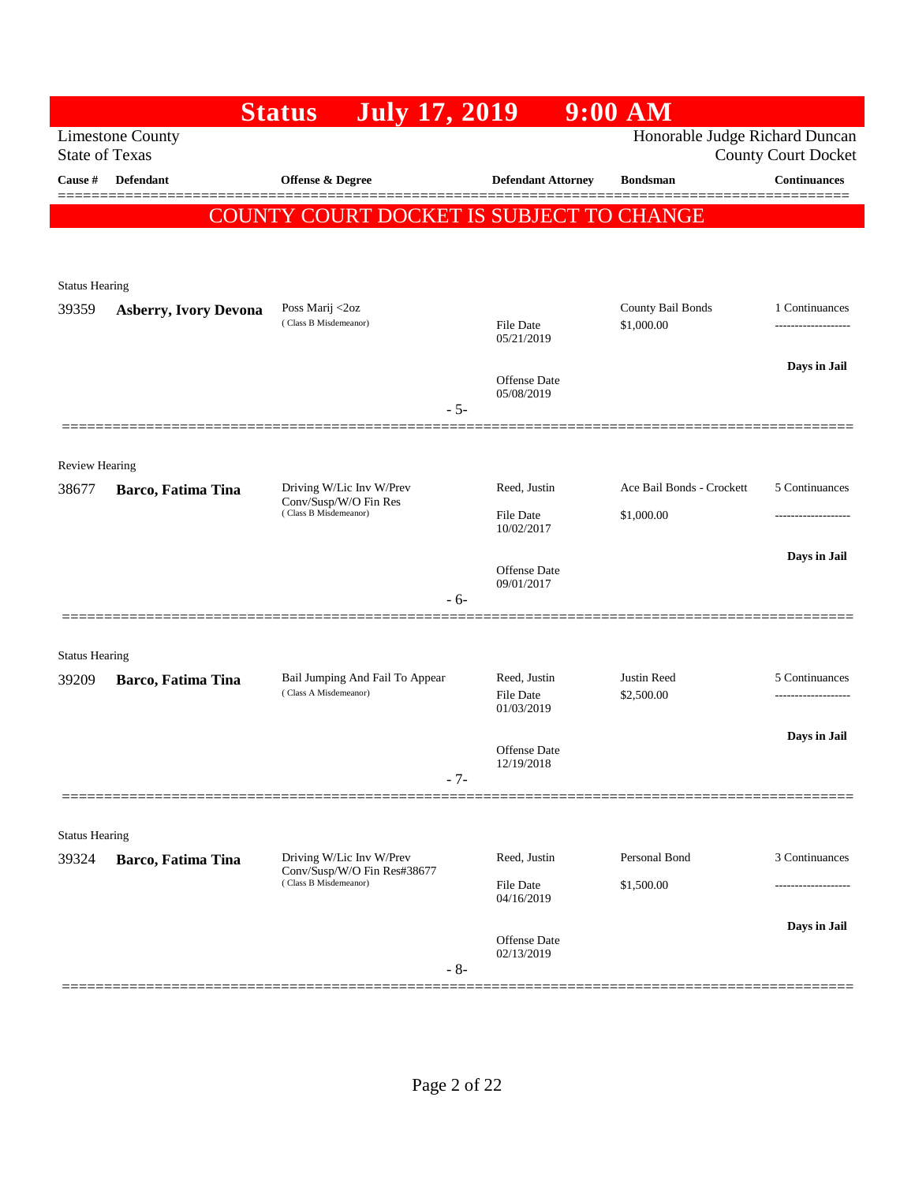|                                |                              | <b>July 17, 2019</b><br><b>Status</b>                |                            | $9:00$ AM                       |                                     |
|--------------------------------|------------------------------|------------------------------------------------------|----------------------------|---------------------------------|-------------------------------------|
| <b>State of Texas</b>          | <b>Limestone County</b>      |                                                      |                            | Honorable Judge Richard Duncan  | <b>County Court Docket</b>          |
| Cause #                        | Defendant                    | Offense & Degree                                     | <b>Defendant Attorney</b>  | <b>Bondsman</b>                 | <b>Continuances</b>                 |
|                                |                              | COUNTY COURT DOCKET IS SUBJECT TO CHANGE             |                            |                                 |                                     |
|                                |                              |                                                      |                            |                                 |                                     |
|                                |                              |                                                      |                            |                                 |                                     |
| <b>Status Hearing</b>          |                              |                                                      |                            |                                 |                                     |
| 39359                          | <b>Asberry, Ivory Devona</b> | Poss Marij <2oz<br>(Class B Misdemeanor)             | File Date<br>05/21/2019    | County Bail Bonds<br>\$1,000.00 | 1 Continuances<br>----------------- |
|                                |                              |                                                      |                            |                                 | Days in Jail                        |
|                                |                              |                                                      | Offense Date<br>05/08/2019 |                                 |                                     |
|                                |                              |                                                      | $-5-$                      |                                 |                                     |
|                                |                              |                                                      |                            |                                 |                                     |
| <b>Review Hearing</b>          |                              | Driving W/Lic Inv W/Prev                             | Reed, Justin               | Ace Bail Bonds - Crockett       | 5 Continuances                      |
| 38677                          | Barco, Fatima Tina           | Conv/Susp/W/O Fin Res<br>(Class B Misdemeanor)       | File Date                  | \$1,000.00                      |                                     |
|                                |                              |                                                      | 10/02/2017                 |                                 |                                     |
|                                |                              |                                                      | <b>Offense Date</b>        |                                 | Days in Jail                        |
|                                |                              |                                                      | 09/01/2017<br>$-6-$        |                                 |                                     |
|                                |                              |                                                      |                            |                                 |                                     |
| <b>Status Hearing</b>          |                              |                                                      |                            |                                 |                                     |
| 39209                          | Barco, Fatima Tina           | Bail Jumping And Fail To Appear                      | Reed, Justin               | Justin Reed                     | 5 Continuances                      |
|                                |                              | (Class A Misdemeanor)                                | File Date<br>01/03/2019    | \$2,500.00                      | .                                   |
|                                |                              |                                                      |                            |                                 | Days in Jail                        |
|                                |                              |                                                      | Offense Date<br>12/19/2018 |                                 |                                     |
|                                |                              |                                                      | $-7-$                      |                                 |                                     |
|                                |                              |                                                      |                            |                                 |                                     |
| <b>Status Hearing</b><br>39324 |                              | Driving W/Lic Inv W/Prev                             | Reed, Justin               | Personal Bond                   | 3 Continuances                      |
|                                | Barco, Fatima Tina           | Conv/Susp/W/O Fin Res#38677<br>(Class B Misdemeanor) | <b>File Date</b>           | \$1,500.00                      |                                     |
|                                |                              |                                                      | 04/16/2019                 |                                 |                                     |
|                                |                              |                                                      | Offense Date               |                                 | Days in Jail                        |
|                                |                              |                                                      | 02/13/2019<br>$-8-$        |                                 |                                     |
|                                |                              |                                                      |                            |                                 |                                     |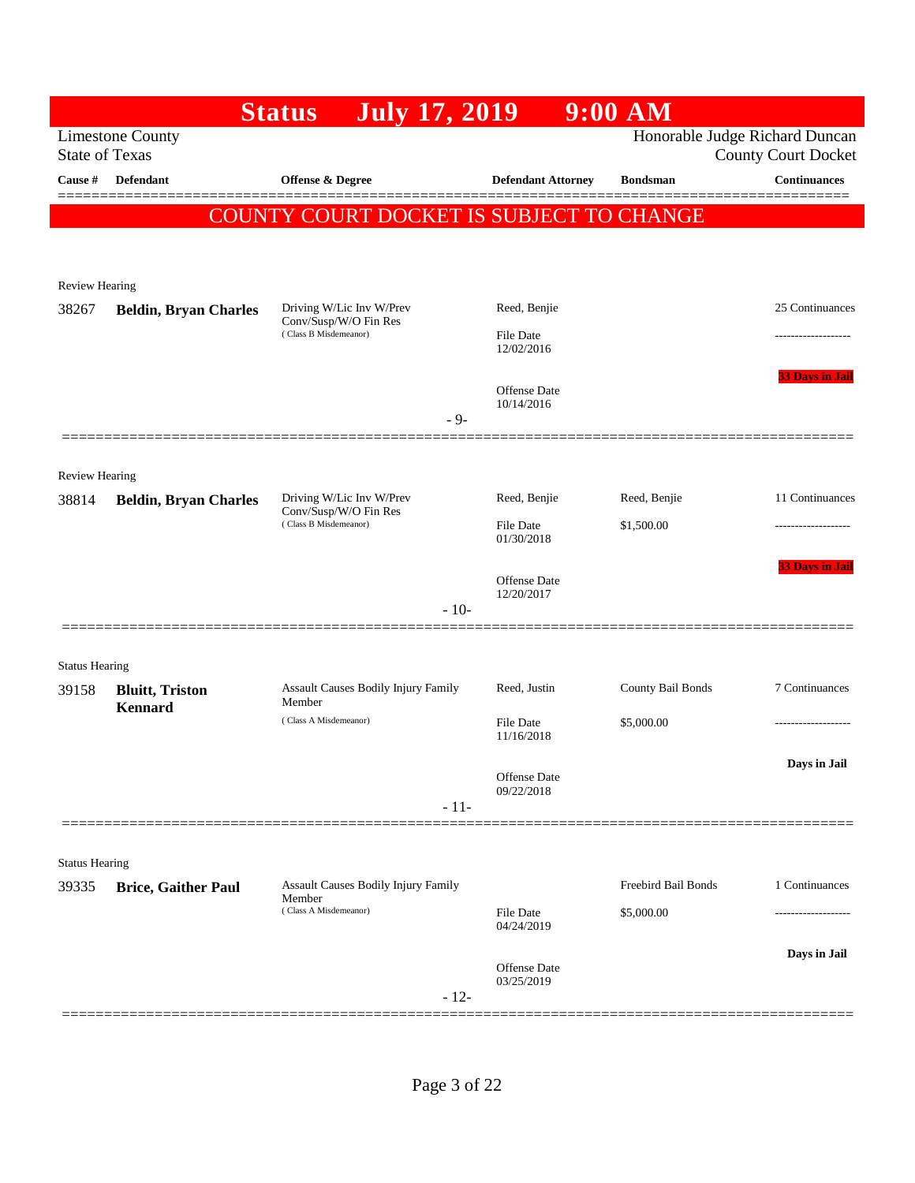|                       |                              | <b>July 17, 2019</b><br><b>Status</b>          |                                   | $9:00$ AM           |                                                              |
|-----------------------|------------------------------|------------------------------------------------|-----------------------------------|---------------------|--------------------------------------------------------------|
| <b>State of Texas</b> | <b>Limestone County</b>      |                                                |                                   |                     | Honorable Judge Richard Duncan<br><b>County Court Docket</b> |
| Cause #               | Defendant                    | Offense & Degree                               | <b>Defendant Attorney</b>         | <b>Bondsman</b>     | <b>Continuances</b>                                          |
|                       |                              | COUNTY COURT DOCKET IS SUBJECT TO CHANGE       |                                   |                     |                                                              |
|                       |                              |                                                |                                   |                     |                                                              |
|                       |                              |                                                |                                   |                     |                                                              |
| <b>Review Hearing</b> |                              | Driving W/Lic Inv W/Prev                       | Reed, Benjie                      |                     | 25 Continuances                                              |
| 38267                 | <b>Beldin, Bryan Charles</b> | Conv/Susp/W/O Fin Res<br>(Class B Misdemeanor) | File Date                         |                     | ------------------                                           |
|                       |                              |                                                | 12/02/2016                        |                     |                                                              |
|                       |                              |                                                | <b>Offense</b> Date               |                     | <b>33 Days in Jail</b>                                       |
|                       |                              | $-9-$                                          | 10/14/2016                        |                     |                                                              |
|                       |                              |                                                |                                   |                     |                                                              |
| <b>Review Hearing</b> |                              |                                                |                                   |                     |                                                              |
| 38814                 | <b>Beldin, Bryan Charles</b> | Driving W/Lic Inv W/Prev                       | Reed, Benjie                      | Reed, Benjie        | 11 Continuances                                              |
|                       |                              | Conv/Susp/W/O Fin Res<br>(Class B Misdemeanor) | <b>File Date</b>                  | \$1,500.00          |                                                              |
|                       |                              |                                                | 01/30/2018                        |                     |                                                              |
|                       |                              |                                                | Offense Date                      |                     | <b>33 Days in Jail</b>                                       |
|                       |                              | $-10-$                                         | 12/20/2017                        |                     |                                                              |
|                       |                              |                                                |                                   |                     |                                                              |
| <b>Status Hearing</b> |                              |                                                |                                   |                     |                                                              |
| 39158                 | <b>Bluitt</b> , Triston      | Assault Causes Bodily Injury Family<br>Member  | Reed, Justin                      | County Bail Bonds   | 7 Continuances                                               |
|                       | <b>Kennard</b>               | (Class A Misdemeanor)                          | File Date                         | \$5,000.00          |                                                              |
|                       |                              |                                                | 11/16/2018                        |                     |                                                              |
|                       |                              |                                                | Offense Date                      |                     | Days in Jail                                                 |
|                       |                              | $-11-$                                         | 09/22/2018                        |                     |                                                              |
|                       |                              |                                                |                                   |                     |                                                              |
| <b>Status Hearing</b> |                              |                                                |                                   |                     |                                                              |
| 39335                 | <b>Brice, Gaither Paul</b>   | Assault Causes Bodily Injury Family<br>Member  |                                   | Freebird Bail Bonds | 1 Continuances                                               |
|                       |                              | (Class A Misdemeanor)                          | <b>File Date</b><br>04/24/2019    | \$5,000.00          |                                                              |
|                       |                              |                                                |                                   |                     | Days in Jail                                                 |
|                       |                              |                                                | <b>Offense Date</b><br>03/25/2019 |                     |                                                              |
|                       |                              | $-12-$                                         |                                   |                     |                                                              |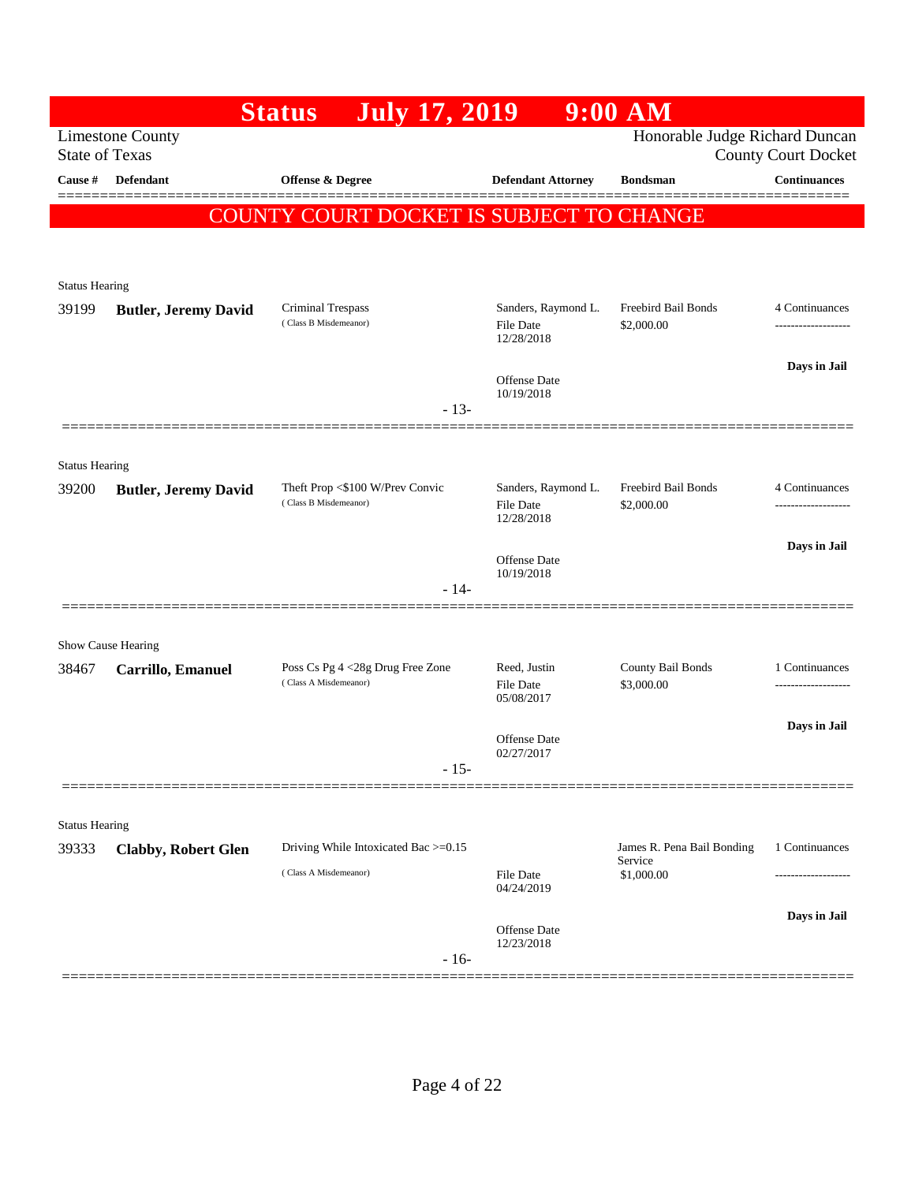|                       |                                                  | <b>July 17, 2019</b><br><b>Status</b>                    |                                         | 9:00 AM                               |                            |
|-----------------------|--------------------------------------------------|----------------------------------------------------------|-----------------------------------------|---------------------------------------|----------------------------|
|                       | <b>Limestone County</b><br><b>State of Texas</b> |                                                          |                                         | Honorable Judge Richard Duncan        | <b>County Court Docket</b> |
| Cause #               | Defendant                                        | <b>Offense &amp; Degree</b>                              | <b>Defendant Attorney</b>               | <b>Bondsman</b>                       | <b>Continuances</b>        |
|                       |                                                  | COUNTY COURT DOCKET IS SUBJECT TO CHANGE                 |                                         |                                       |                            |
|                       |                                                  |                                                          |                                         |                                       |                            |
| <b>Status Hearing</b> |                                                  |                                                          |                                         |                                       |                            |
| 39199                 | <b>Butler, Jeremy David</b>                      | Criminal Trespass<br>(Class B Misdemeanor)               | Sanders, Raymond L.                     | Freebird Bail Bonds                   | 4 Continuances             |
|                       |                                                  |                                                          | File Date<br>12/28/2018                 | \$2,000.00                            | ------------------         |
|                       |                                                  |                                                          | <b>Offense Date</b>                     |                                       | Days in Jail               |
|                       |                                                  | $-13-$                                                   | 10/19/2018                              |                                       |                            |
|                       |                                                  |                                                          |                                         |                                       |                            |
| <b>Status Hearing</b> |                                                  |                                                          |                                         |                                       |                            |
| 39200                 | <b>Butler, Jeremy David</b>                      | Theft Prop <\$100 W/Prev Convic<br>(Class B Misdemeanor) | Sanders, Raymond L.<br><b>File Date</b> | Freebird Bail Bonds<br>\$2,000.00     | 4 Continuances<br>.        |
|                       |                                                  |                                                          | 12/28/2018                              |                                       | Days in Jail               |
|                       |                                                  |                                                          | Offense Date<br>10/19/2018              |                                       |                            |
|                       |                                                  | $-14-$                                                   |                                         |                                       |                            |
|                       | Show Cause Hearing                               |                                                          |                                         |                                       |                            |
| 38467                 | Carrillo, Emanuel                                | Poss Cs Pg 4 <28g Drug Free Zone                         | Reed, Justin                            | County Bail Bonds                     | 1 Continuances             |
|                       |                                                  | (Class A Misdemeanor)                                    | <b>File Date</b><br>05/08/2017          | \$3,000.00                            |                            |
|                       |                                                  |                                                          | Offense Date                            |                                       | Days in Jail               |
|                       |                                                  | $-15-$                                                   | 02/27/2017                              |                                       |                            |
|                       |                                                  |                                                          |                                         |                                       |                            |
| <b>Status Hearing</b> |                                                  |                                                          |                                         |                                       |                            |
| 39333                 | <b>Clabby, Robert Glen</b>                       | Driving While Intoxicated Bac >=0.15                     |                                         | James R. Pena Bail Bonding<br>Service | 1 Continuances             |
|                       |                                                  | (Class A Misdemeanor)                                    | File Date<br>04/24/2019                 | \$1,000.00                            |                            |
|                       |                                                  |                                                          | Offense Date                            |                                       | Days in Jail               |
|                       |                                                  | $-16-$                                                   | 12/23/2018                              |                                       |                            |
|                       |                                                  |                                                          |                                         |                                       |                            |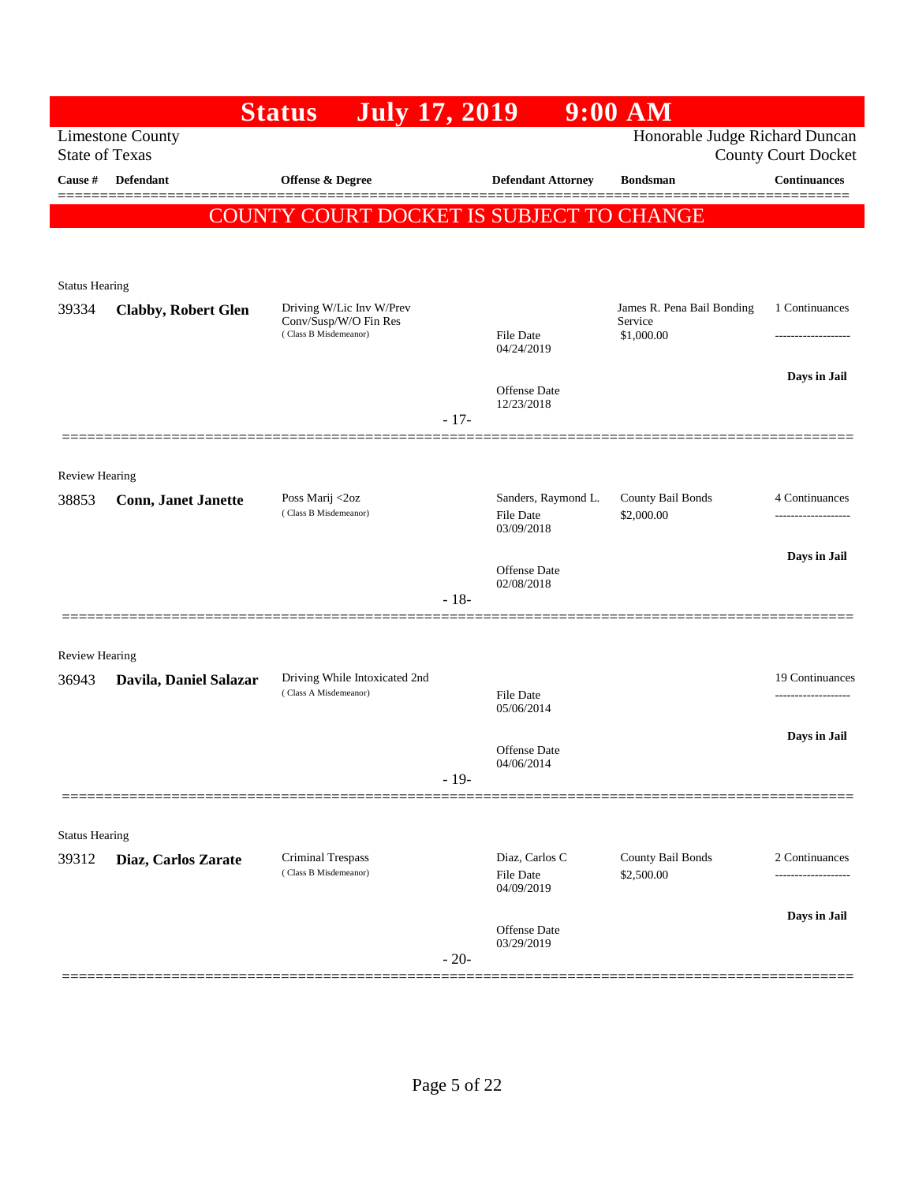|                                |                                                  | <b>July 17, 2019</b><br><b>Status</b>          |        |                                   | $9:00$ AM                      |                            |
|--------------------------------|--------------------------------------------------|------------------------------------------------|--------|-----------------------------------|--------------------------------|----------------------------|
|                                | <b>Limestone County</b><br><b>State of Texas</b> |                                                |        |                                   | Honorable Judge Richard Duncan | <b>County Court Docket</b> |
| Cause #                        | Defendant                                        | <b>Offense &amp; Degree</b>                    |        | <b>Defendant Attorney</b>         | <b>Bondsman</b>                | <b>Continuances</b>        |
|                                |                                                  | COUNTY COURT DOCKET IS SUBJECT TO CHANGE       |        |                                   |                                |                            |
|                                |                                                  |                                                |        |                                   |                                |                            |
|                                |                                                  |                                                |        |                                   |                                |                            |
| <b>Status Hearing</b><br>39334 | <b>Clabby, Robert Glen</b>                       | Driving W/Lic Inv W/Prev                       |        |                                   | James R. Pena Bail Bonding     | 1 Continuances             |
|                                |                                                  | Conv/Susp/W/O Fin Res<br>(Class B Misdemeanor) |        | File Date                         | Service<br>\$1,000.00          | -------------------        |
|                                |                                                  |                                                |        | 04/24/2019                        |                                | Days in Jail               |
|                                |                                                  |                                                |        | <b>Offense</b> Date<br>12/23/2018 |                                |                            |
|                                |                                                  |                                                | $-17-$ |                                   |                                |                            |
|                                |                                                  |                                                |        |                                   |                                |                            |
| <b>Review Hearing</b><br>38853 | <b>Conn, Janet Janette</b>                       | Poss Marij <2oz                                |        | Sanders, Raymond L.               | County Bail Bonds              | 4 Continuances             |
|                                |                                                  | (Class B Misdemeanor)                          |        | <b>File Date</b><br>03/09/2018    | \$2,000.00                     |                            |
|                                |                                                  |                                                |        |                                   |                                | Days in Jail               |
|                                |                                                  |                                                |        | Offense Date<br>02/08/2018        |                                |                            |
|                                |                                                  |                                                | $-18-$ |                                   |                                |                            |
| <b>Review Hearing</b>          |                                                  |                                                |        |                                   |                                |                            |
| 36943                          | Davila, Daniel Salazar                           | Driving While Intoxicated 2nd                  |        |                                   |                                | 19 Continuances            |
|                                |                                                  | (Class A Misdemeanor)                          |        | <b>File Date</b><br>05/06/2014    |                                | ------------------         |
|                                |                                                  |                                                |        |                                   |                                | Days in Jail               |
|                                |                                                  |                                                |        | Offense Date<br>04/06/2014        |                                |                            |
|                                |                                                  |                                                | $-19-$ |                                   |                                |                            |
| <b>Status Hearing</b>          |                                                  |                                                |        |                                   |                                |                            |
| 39312                          | Diaz, Carlos Zarate                              | Criminal Trespass                              |        | Diaz, Carlos C                    | County Bail Bonds              | 2 Continuances             |
|                                |                                                  | (Class B Misdemeanor)                          |        | <b>File Date</b><br>04/09/2019    | \$2,500.00                     | -----------------          |
|                                |                                                  |                                                |        | Offense Date                      |                                | Days in Jail               |
|                                |                                                  |                                                | $-20-$ | 03/29/2019                        |                                |                            |
|                                |                                                  |                                                |        |                                   |                                |                            |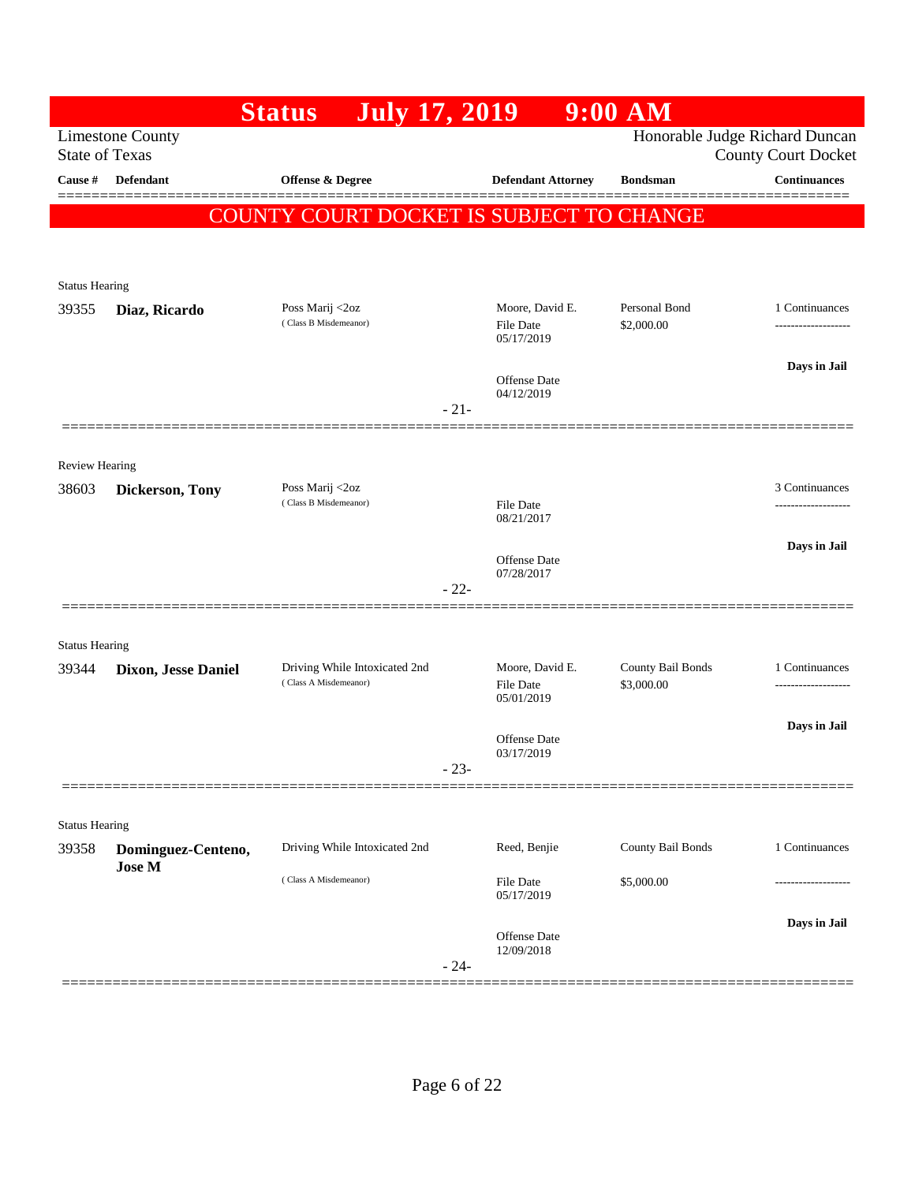|                                |                         | <b>Status</b><br><b>July 17, 2019</b>    |        |                                            | $9:00$ AM                   |                                                              |
|--------------------------------|-------------------------|------------------------------------------|--------|--------------------------------------------|-----------------------------|--------------------------------------------------------------|
| <b>State of Texas</b>          | <b>Limestone County</b> |                                          |        |                                            |                             | Honorable Judge Richard Duncan<br><b>County Court Docket</b> |
| Cause #                        | Defendant               | <b>Offense &amp; Degree</b>              |        | <b>Defendant Attorney</b>                  | <b>Bondsman</b>             | <b>Continuances</b>                                          |
|                                |                         | COUNTY COURT DOCKET IS SUBJECT TO CHANGE |        |                                            |                             |                                                              |
|                                |                         |                                          |        |                                            |                             |                                                              |
|                                |                         |                                          |        |                                            |                             |                                                              |
| <b>Status Hearing</b>          |                         |                                          |        |                                            |                             |                                                              |
| 39355                          | Diaz, Ricardo           | Poss Marij <2oz<br>(Class B Misdemeanor) |        | Moore, David E.<br>File Date<br>05/17/2019 | Personal Bond<br>\$2,000.00 | 1 Continuances<br>.                                          |
|                                |                         |                                          |        | <b>Offense</b> Date<br>04/12/2019          |                             | Days in Jail                                                 |
|                                |                         |                                          | $-21-$ |                                            |                             |                                                              |
|                                |                         |                                          |        |                                            |                             |                                                              |
| <b>Review Hearing</b><br>38603 | Dickerson, Tony         | Poss Marij <2oz                          |        |                                            |                             | 3 Continuances                                               |
|                                |                         | (Class B Misdemeanor)                    |        | File Date<br>08/21/2017                    |                             | -----------------                                            |
|                                |                         |                                          |        |                                            |                             | Days in Jail                                                 |
|                                |                         |                                          | $-22-$ | Offense Date<br>07/28/2017                 |                             |                                                              |
|                                |                         |                                          |        |                                            |                             |                                                              |
| <b>Status Hearing</b><br>39344 | Dixon, Jesse Daniel     | Driving While Intoxicated 2nd            |        | Moore, David E.                            | County Bail Bonds           | 1 Continuances                                               |
|                                |                         | (Class A Misdemeanor)                    |        | File Date<br>05/01/2019                    | \$3,000.00                  | ---------------                                              |
|                                |                         |                                          |        |                                            |                             | Days in Jail                                                 |
|                                |                         |                                          |        | Offense Date<br>03/17/2019                 |                             |                                                              |
|                                |                         |                                          | $-23-$ |                                            |                             |                                                              |
| <b>Status Hearing</b>          |                         |                                          |        |                                            |                             |                                                              |
| 39358                          | Dominguez-Centeno,      | Driving While Intoxicated 2nd            |        | Reed, Benjie                               | County Bail Bonds           | 1 Continuances                                               |
|                                | <b>Jose M</b>           | (Class A Misdemeanor)                    |        | <b>File Date</b><br>05/17/2019             | \$5,000.00                  |                                                              |
|                                |                         |                                          |        | Offense Date                               |                             | Days in Jail                                                 |
|                                |                         |                                          | $-24-$ | 12/09/2018                                 |                             |                                                              |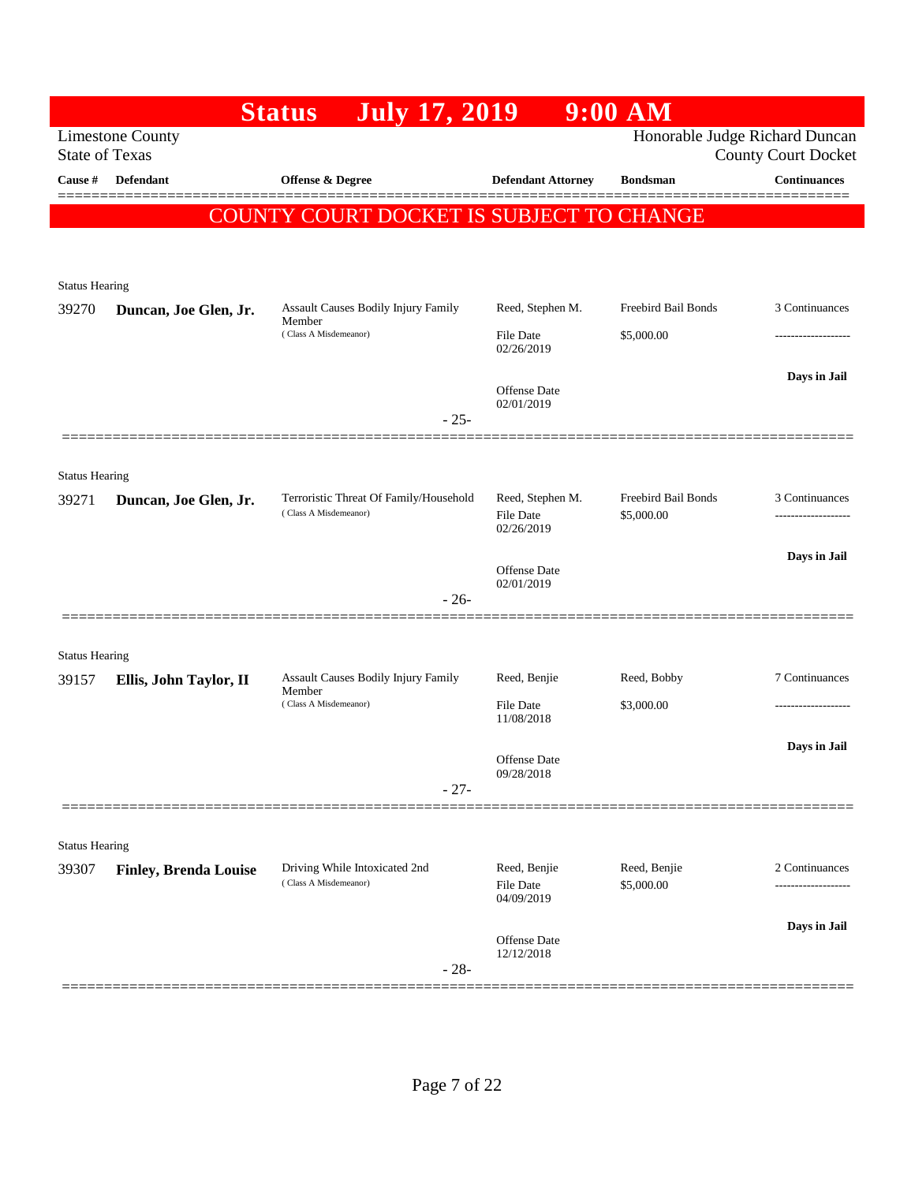|                       |                                                  | <b>July 17, 2019</b><br><b>Status</b>                           |                                | $9:00$ AM                         |                            |
|-----------------------|--------------------------------------------------|-----------------------------------------------------------------|--------------------------------|-----------------------------------|----------------------------|
|                       | <b>Limestone County</b><br><b>State of Texas</b> |                                                                 |                                | Honorable Judge Richard Duncan    | <b>County Court Docket</b> |
| Cause #               | <b>Defendant</b>                                 | Offense & Degree                                                | <b>Defendant Attorney</b>      | <b>Bondsman</b>                   | <b>Continuances</b>        |
|                       |                                                  | COUNTY COURT DOCKET IS SUBJECT TO CHANGE                        |                                |                                   |                            |
|                       |                                                  |                                                                 |                                |                                   |                            |
| <b>Status Hearing</b> |                                                  |                                                                 |                                |                                   |                            |
| 39270                 | Duncan, Joe Glen, Jr.                            | <b>Assault Causes Bodily Injury Family</b><br>Member            | Reed, Stephen M.               | Freebird Bail Bonds               | 3 Continuances             |
|                       |                                                  | (Class A Misdemeanor)                                           | <b>File Date</b><br>02/26/2019 | \$5,000.00                        | -------------------        |
|                       |                                                  |                                                                 | <b>Offense</b> Date            |                                   | Days in Jail               |
|                       |                                                  | $-25-$                                                          | 02/01/2019                     |                                   |                            |
|                       |                                                  |                                                                 |                                |                                   |                            |
| <b>Status Hearing</b> |                                                  |                                                                 |                                |                                   |                            |
| 39271                 | Duncan, Joe Glen, Jr.                            | Terroristic Threat Of Family/Household<br>(Class A Misdemeanor) | Reed, Stephen M.<br>File Date  | Freebird Bail Bonds<br>\$5,000.00 | 3 Continuances             |
|                       |                                                  |                                                                 | 02/26/2019                     |                                   |                            |
|                       |                                                  |                                                                 | Offense Date<br>02/01/2019     |                                   | Days in Jail               |
|                       |                                                  | $-26-$                                                          |                                |                                   |                            |
| <b>Status Hearing</b> |                                                  |                                                                 |                                |                                   |                            |
| 39157                 | Ellis, John Taylor, II                           | Assault Causes Bodily Injury Family                             | Reed, Benjie                   | Reed, Bobby                       | 7 Continuances             |
|                       |                                                  | Member<br>(Class A Misdemeanor)                                 | <b>File Date</b><br>11/08/2018 | \$3,000.00                        | -------------------        |
|                       |                                                  |                                                                 |                                |                                   | Days in Jail               |
|                       |                                                  |                                                                 | Offense Date<br>09/28/2018     |                                   |                            |
|                       |                                                  | $-27-$                                                          |                                |                                   |                            |
| <b>Status Hearing</b> |                                                  |                                                                 |                                |                                   |                            |
| 39307                 | <b>Finley, Brenda Louise</b>                     | Driving While Intoxicated 2nd<br>(Class A Misdemeanor)          | Reed, Benjie<br>File Date      | Reed, Benjie<br>\$5,000.00        | 2 Continuances             |
|                       |                                                  |                                                                 | 04/09/2019                     |                                   |                            |
|                       |                                                  |                                                                 | Offense Date                   |                                   | Days in Jail               |
|                       |                                                  | $-28-$                                                          | 12/12/2018                     |                                   |                            |
|                       |                                                  |                                                                 |                                |                                   |                            |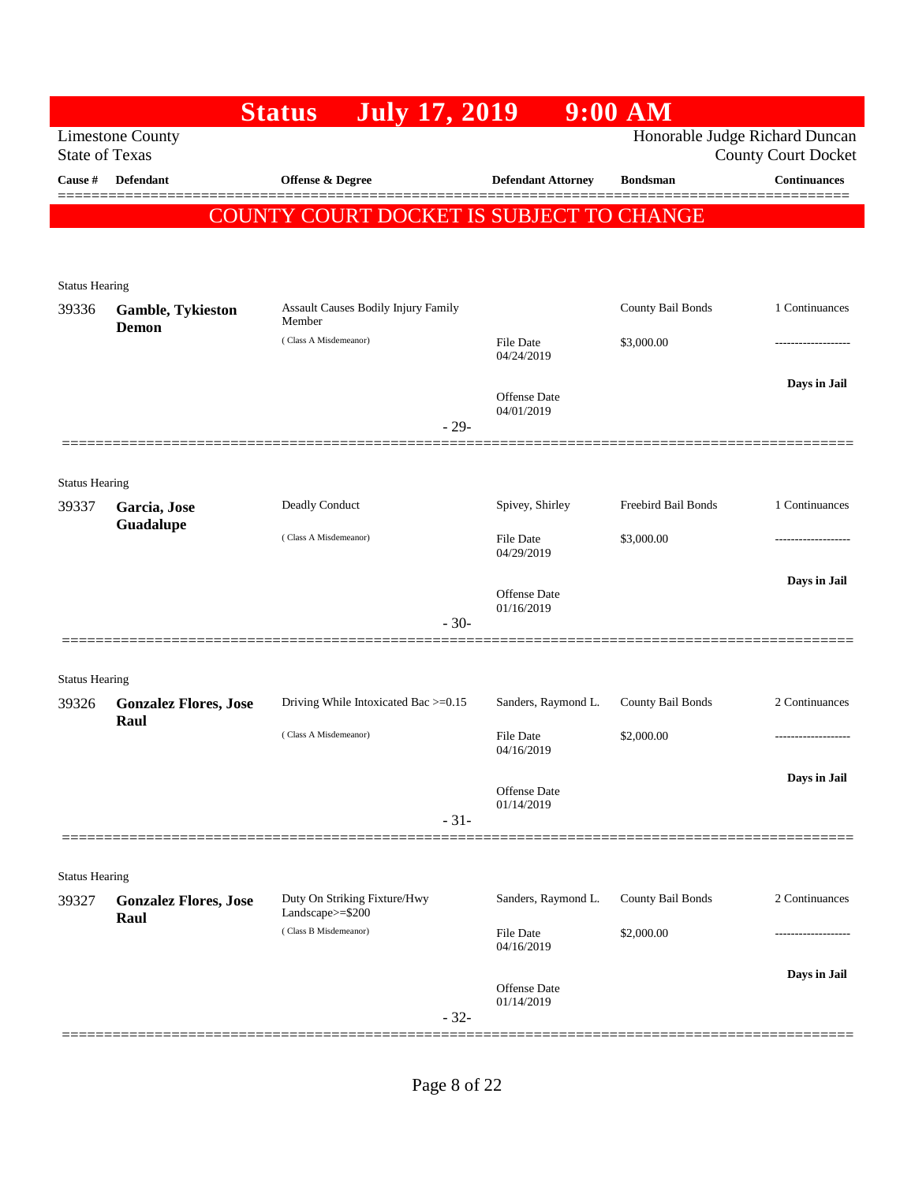|                                |                                                  | <b>July 17, 2019</b><br><b>Status</b>         |                                   | $9:00$ AM           |                                                              |
|--------------------------------|--------------------------------------------------|-----------------------------------------------|-----------------------------------|---------------------|--------------------------------------------------------------|
|                                | <b>Limestone County</b><br><b>State of Texas</b> |                                               |                                   |                     | Honorable Judge Richard Duncan<br><b>County Court Docket</b> |
| Cause #                        | <b>Defendant</b>                                 | Offense & Degree                              | <b>Defendant Attorney</b>         | <b>Bondsman</b>     | <b>Continuances</b>                                          |
|                                |                                                  |                                               |                                   |                     |                                                              |
|                                |                                                  | COUNTY COURT DOCKET IS SUBJECT TO CHANGE      |                                   |                     |                                                              |
|                                |                                                  |                                               |                                   |                     |                                                              |
| <b>Status Hearing</b>          |                                                  |                                               |                                   |                     |                                                              |
| 39336                          | <b>Gamble, Tykieston</b><br>Demon                | Assault Causes Bodily Injury Family<br>Member |                                   | County Bail Bonds   | 1 Continuances                                               |
|                                |                                                  | (Class A Misdemeanor)                         | File Date<br>04/24/2019           | \$3,000.00          |                                                              |
|                                |                                                  |                                               |                                   |                     | Days in Jail                                                 |
|                                |                                                  |                                               | <b>Offense Date</b><br>04/01/2019 |                     |                                                              |
|                                |                                                  | $-29-$                                        |                                   |                     |                                                              |
|                                |                                                  |                                               |                                   |                     |                                                              |
| <b>Status Hearing</b>          |                                                  |                                               |                                   |                     |                                                              |
| 39337                          | Garcia, Jose<br>Guadalupe                        | Deadly Conduct                                | Spivey, Shirley                   | Freebird Bail Bonds | 1 Continuances                                               |
|                                |                                                  | (Class A Misdemeanor)                         | File Date<br>04/29/2019           | \$3,000.00          |                                                              |
|                                |                                                  |                                               |                                   |                     | Days in Jail                                                 |
|                                |                                                  |                                               | <b>Offense Date</b><br>01/16/2019 |                     |                                                              |
|                                |                                                  | $-30-$                                        |                                   |                     |                                                              |
|                                |                                                  |                                               |                                   |                     |                                                              |
| <b>Status Hearing</b>          |                                                  |                                               | Sanders, Raymond L.               |                     | 2 Continuances                                               |
| 39326                          | <b>Gonzalez Flores, Jose</b><br>Raul             | Driving While Intoxicated Bac >=0.15          |                                   | County Bail Bonds   |                                                              |
|                                |                                                  | (Class A Misdemeanor)                         | File Date<br>04/16/2019           | \$2,000.00          |                                                              |
|                                |                                                  |                                               |                                   |                     | Days in Jail                                                 |
|                                |                                                  |                                               | <b>Offense Date</b><br>01/14/2019 |                     |                                                              |
|                                |                                                  | $-31-$                                        |                                   |                     |                                                              |
|                                |                                                  |                                               |                                   |                     |                                                              |
| <b>Status Hearing</b><br>39327 | <b>Gonzalez Flores, Jose</b>                     | Duty On Striking Fixture/Hwy                  | Sanders, Raymond L.               | County Bail Bonds   | 2 Continuances                                               |
|                                | Raul                                             | Landscape>=\$200<br>(Class B Misdemeanor)     |                                   |                     |                                                              |
|                                |                                                  |                                               | <b>File Date</b><br>04/16/2019    | \$2,000.00          |                                                              |
|                                |                                                  |                                               | <b>Offense Date</b>               |                     | Days in Jail                                                 |
|                                |                                                  |                                               | 01/14/2019                        |                     |                                                              |
|                                |                                                  | $-32-$                                        |                                   |                     |                                                              |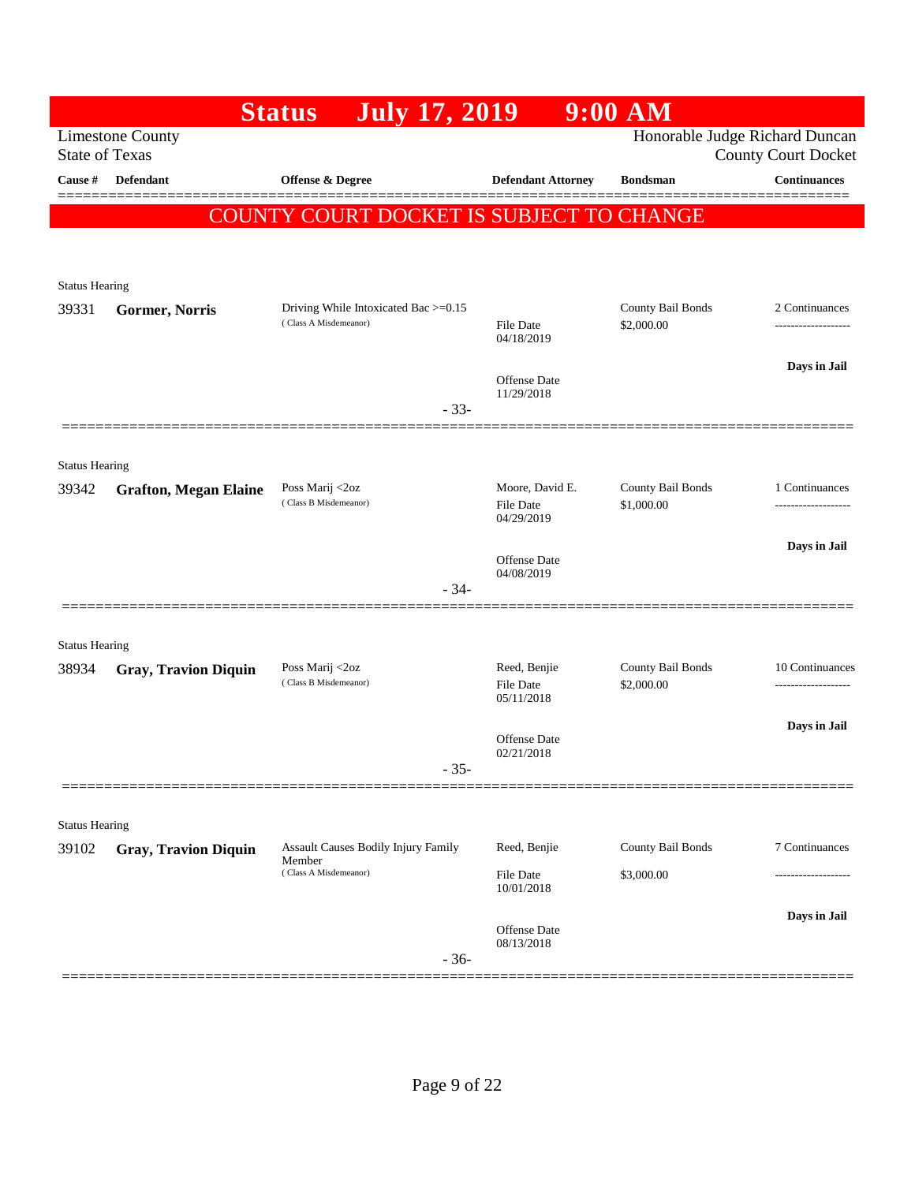|                                |                              | <b>Status</b><br><b>July 17, 2019</b>                                         |                              | $9:00$ AM                       |                                                              |
|--------------------------------|------------------------------|-------------------------------------------------------------------------------|------------------------------|---------------------------------|--------------------------------------------------------------|
| <b>State of Texas</b>          | <b>Limestone County</b>      |                                                                               |                              |                                 | Honorable Judge Richard Duncan<br><b>County Court Docket</b> |
| Cause #                        | <b>Defendant</b>             | <b>Offense &amp; Degree</b>                                                   | <b>Defendant Attorney</b>    | <b>Bondsman</b>                 | <b>Continuances</b>                                          |
|                                |                              | COUNTY COURT DOCKET IS SUBJECT TO CHANGE                                      |                              |                                 |                                                              |
|                                |                              |                                                                               |                              |                                 |                                                              |
|                                |                              |                                                                               |                              |                                 |                                                              |
| <b>Status Hearing</b><br>39331 | Gormer, Norris               | Driving While Intoxicated Bac >=0.15                                          |                              | County Bail Bonds               | 2 Continuances                                               |
|                                |                              | (Class A Misdemeanor)                                                         | File Date<br>04/18/2019      | \$2,000.00                      | -------------------                                          |
|                                |                              |                                                                               | Offense Date                 |                                 | Days in Jail                                                 |
|                                |                              | $-33-$                                                                        | 11/29/2018                   |                                 |                                                              |
|                                |                              |                                                                               |                              |                                 |                                                              |
| <b>Status Hearing</b>          |                              |                                                                               |                              |                                 |                                                              |
| 39342                          | <b>Grafton, Megan Elaine</b> | Poss Marij <2oz<br>(Class B Misdemeanor)                                      | Moore, David E.<br>File Date | County Bail Bonds<br>\$1,000.00 | 1 Continuances                                               |
|                                |                              |                                                                               | 04/29/2019                   |                                 |                                                              |
|                                |                              |                                                                               | Offense Date                 |                                 | Days in Jail                                                 |
|                                |                              | $-34-$                                                                        | 04/08/2019                   |                                 |                                                              |
|                                |                              |                                                                               |                              |                                 |                                                              |
| <b>Status Hearing</b>          |                              |                                                                               |                              |                                 |                                                              |
| 38934                          | <b>Gray, Travion Diquin</b>  | Poss Marij <2oz<br>(Class B Misdemeanor)                                      | Reed, Benjie<br>File Date    | County Bail Bonds<br>\$2,000.00 | 10 Continuances<br>-----------------                         |
|                                |                              |                                                                               | 05/11/2018                   |                                 |                                                              |
|                                |                              |                                                                               | Offense Date<br>02/21/2018   |                                 | Days in Jail                                                 |
|                                |                              | $-35-$                                                                        |                              |                                 |                                                              |
|                                |                              |                                                                               |                              |                                 |                                                              |
| <b>Status Hearing</b>          |                              |                                                                               |                              |                                 |                                                              |
| 39102                          | <b>Gray, Travion Diquin</b>  | <b>Assault Causes Bodily Injury Family</b><br>Member<br>(Class A Misdemeanor) | Reed, Benjie<br>File Date    | County Bail Bonds<br>\$3,000.00 | 7 Continuances<br>---------------                            |
|                                |                              |                                                                               | 10/01/2018                   |                                 |                                                              |
|                                |                              |                                                                               | Offense Date                 |                                 | Days in Jail                                                 |
|                                |                              | $-36-$                                                                        | 08/13/2018                   |                                 |                                                              |
|                                |                              |                                                                               |                              |                                 |                                                              |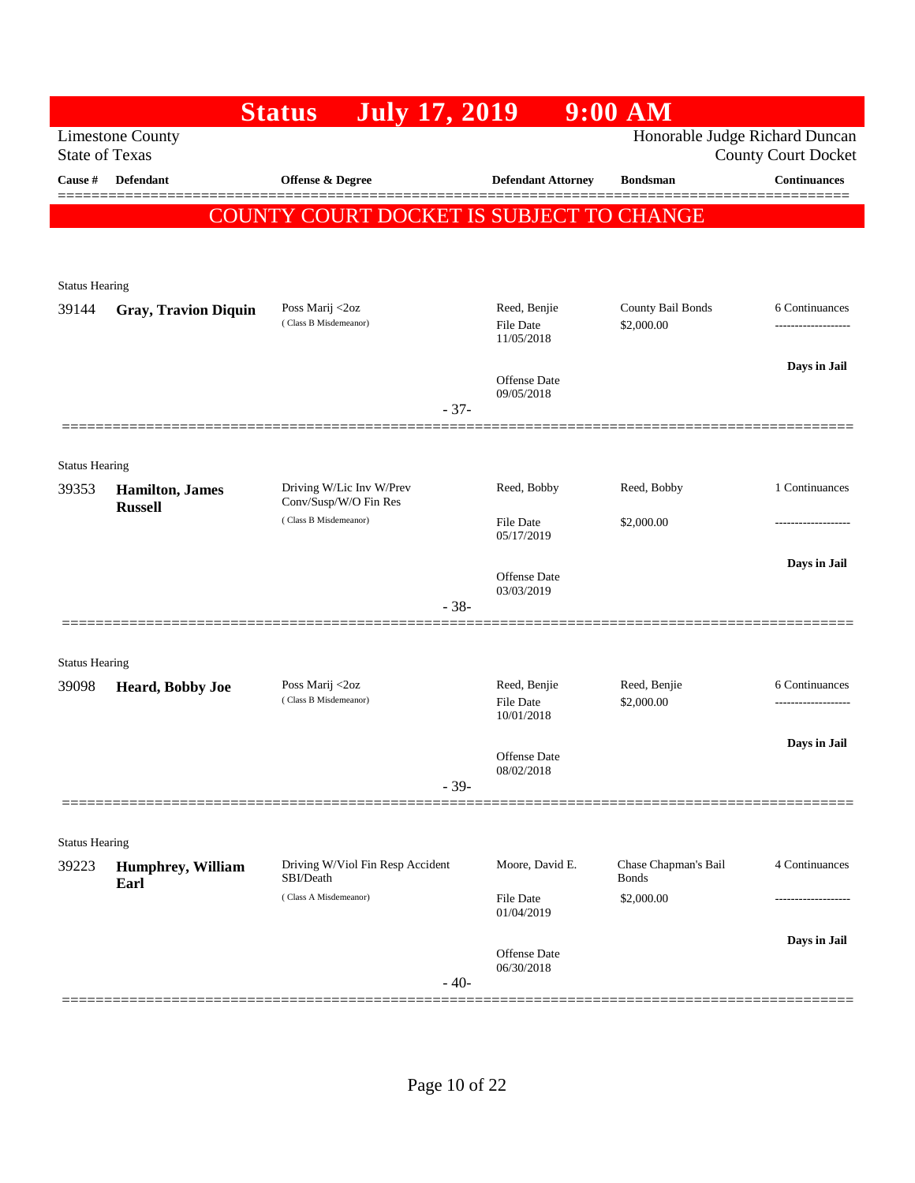|                       |                                                  | <b>Status</b><br><b>July 17, 2019</b>             |                                                | $9:00$ AM                            |                                   |
|-----------------------|--------------------------------------------------|---------------------------------------------------|------------------------------------------------|--------------------------------------|-----------------------------------|
|                       | <b>Limestone County</b><br><b>State of Texas</b> |                                                   |                                                | Honorable Judge Richard Duncan       | <b>County Court Docket</b>        |
| Cause #               | Defendant                                        | Offense & Degree                                  | <b>Defendant Attorney</b>                      | <b>Bondsman</b>                      | <b>Continuances</b>               |
|                       |                                                  | COUNTY COURT DOCKET IS SUBJECT TO CHANGE          |                                                |                                      |                                   |
|                       |                                                  |                                                   |                                                |                                      |                                   |
| <b>Status Hearing</b> |                                                  |                                                   |                                                |                                      |                                   |
| 39144                 | <b>Gray, Travion Diquin</b>                      | Poss Marij <2oz<br>(Class B Misdemeanor)          | Reed, Benjie<br><b>File Date</b><br>11/05/2018 | County Bail Bonds<br>\$2,000.00      | 6 Continuances                    |
|                       |                                                  |                                                   | <b>Offense</b> Date<br>09/05/2018              |                                      | Days in Jail                      |
|                       |                                                  |                                                   | $-37-$                                         |                                      |                                   |
| <b>Status Hearing</b> |                                                  |                                                   |                                                |                                      |                                   |
| 39353                 | <b>Hamilton</b> , James<br><b>Russell</b>        | Driving W/Lic Inv W/Prev<br>Conv/Susp/W/O Fin Res | Reed, Bobby                                    | Reed, Bobby                          | 1 Continuances                    |
|                       |                                                  | (Class B Misdemeanor)                             | <b>File Date</b><br>05/17/2019                 | \$2,000.00                           |                                   |
|                       |                                                  |                                                   | Offense Date                                   |                                      | Days in Jail                      |
|                       |                                                  |                                                   | 03/03/2019<br>$-38-$                           |                                      |                                   |
| <b>Status Hearing</b> |                                                  |                                                   |                                                |                                      |                                   |
| 39098                 | Heard, Bobby Joe                                 | Poss Marij <2oz<br>(Class B Misdemeanor)          | Reed, Benjie<br>File Date<br>10/01/2018        | Reed, Benjie<br>\$2,000.00           | 6 Continuances<br>--------------- |
|                       |                                                  |                                                   | <b>Offense</b> Date<br>08/02/2018              |                                      | Days in Jail                      |
|                       |                                                  |                                                   | $-39-$                                         |                                      |                                   |
| <b>Status Hearing</b> |                                                  |                                                   |                                                |                                      |                                   |
| 39223                 | Humphrey, William<br>Earl                        | Driving W/Viol Fin Resp Accident<br>SBI/Death     | Moore, David E.                                | Chase Chapman's Bail<br><b>Bonds</b> | 4 Continuances                    |
|                       |                                                  | (Class A Misdemeanor)                             | <b>File Date</b><br>01/04/2019                 | \$2,000.00                           |                                   |
|                       |                                                  |                                                   | <b>Offense Date</b><br>06/30/2018              |                                      | Days in Jail                      |
|                       |                                                  |                                                   | $-40-$                                         |                                      |                                   |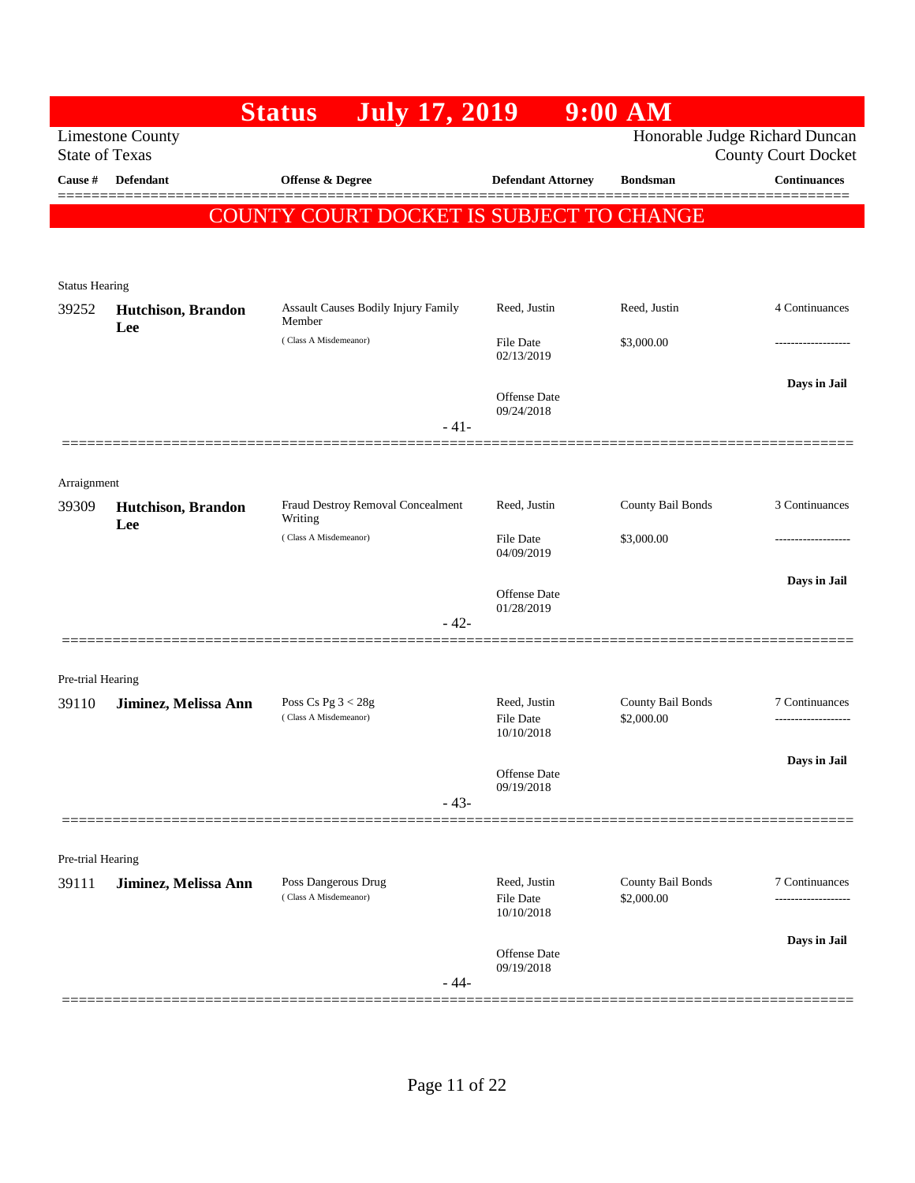|                            |                                                  | <b>July 17, 2019</b><br><b>Status</b>         |                                                | $9:00$ AM                       |                                                              |
|----------------------------|--------------------------------------------------|-----------------------------------------------|------------------------------------------------|---------------------------------|--------------------------------------------------------------|
|                            | <b>Limestone County</b><br><b>State of Texas</b> |                                               |                                                |                                 | Honorable Judge Richard Duncan<br><b>County Court Docket</b> |
| Cause #                    | <b>Defendant</b>                                 | <b>Offense &amp; Degree</b>                   | <b>Defendant Attorney</b>                      | <b>Bondsman</b>                 | <b>Continuances</b>                                          |
|                            |                                                  | COUNTY COURT DOCKET IS SUBJECT TO CHANGE      |                                                |                                 |                                                              |
|                            |                                                  |                                               |                                                |                                 |                                                              |
| <b>Status Hearing</b>      |                                                  |                                               |                                                |                                 |                                                              |
| 39252                      | Hutchison, Brandon                               | Assault Causes Bodily Injury Family<br>Member | Reed, Justin                                   | Reed, Justin                    | 4 Continuances                                               |
|                            | Lee                                              | (Class A Misdemeanor)                         | <b>File Date</b><br>02/13/2019                 | \$3,000.00                      |                                                              |
|                            |                                                  |                                               | <b>Offense</b> Date                            |                                 | Days in Jail                                                 |
|                            |                                                  | $-41-$                                        | 09/24/2018                                     |                                 |                                                              |
|                            |                                                  |                                               |                                                |                                 |                                                              |
| Arraignment                |                                                  |                                               |                                                |                                 |                                                              |
| 39309                      | Hutchison, Brandon<br>Lee                        | Fraud Destroy Removal Concealment<br>Writing  | Reed, Justin                                   | County Bail Bonds               | 3 Continuances                                               |
|                            |                                                  | (Class A Misdemeanor)                         | <b>File Date</b><br>04/09/2019                 | \$3,000.00                      |                                                              |
|                            |                                                  |                                               | <b>Offense</b> Date                            |                                 | Days in Jail                                                 |
|                            |                                                  | $-42-$                                        | 01/28/2019                                     |                                 |                                                              |
|                            |                                                  |                                               |                                                |                                 |                                                              |
| Pre-trial Hearing<br>39110 | Jiminez, Melissa Ann                             | Poss Cs Pg $3 < 28g$                          | Reed, Justin                                   | County Bail Bonds               | 7 Continuances                                               |
|                            |                                                  | (Class A Misdemeanor)                         | <b>File Date</b><br>10/10/2018                 | \$2,000.00                      | ------------------                                           |
|                            |                                                  |                                               | Offense Date                                   |                                 | Days in Jail                                                 |
|                            |                                                  | $-43-$                                        | 09/19/2018                                     |                                 |                                                              |
|                            |                                                  |                                               |                                                |                                 |                                                              |
| Pre-trial Hearing          |                                                  |                                               |                                                |                                 |                                                              |
| 39111                      | Jiminez, Melissa Ann                             | Poss Dangerous Drug<br>(Class A Misdemeanor)  | Reed, Justin<br><b>File Date</b><br>10/10/2018 | County Bail Bonds<br>\$2,000.00 | 7 Continuances                                               |
|                            |                                                  |                                               |                                                |                                 | Days in Jail                                                 |
|                            |                                                  | $-44-$                                        | 09/19/2018                                     |                                 |                                                              |
|                            |                                                  |                                               | Offense Date                                   |                                 |                                                              |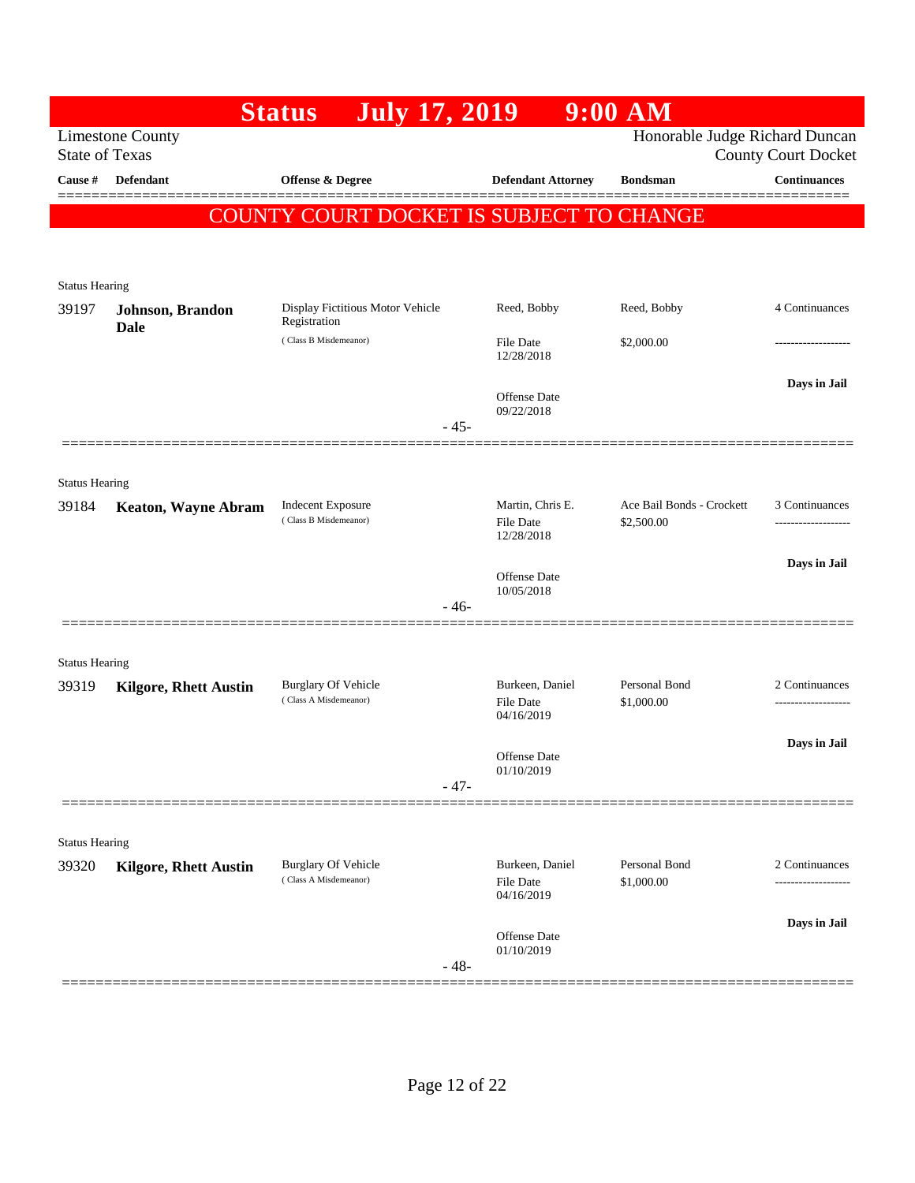|                       |                                                  | <b>July 17, 2019</b><br><b>Status</b>            |                                   | $9:00$ AM                      |                            |
|-----------------------|--------------------------------------------------|--------------------------------------------------|-----------------------------------|--------------------------------|----------------------------|
|                       | <b>Limestone County</b><br><b>State of Texas</b> |                                                  |                                   | Honorable Judge Richard Duncan | <b>County Court Docket</b> |
| Cause #               | <b>Defendant</b>                                 | Offense & Degree                                 | <b>Defendant Attorney</b>         | <b>Bondsman</b>                | <b>Continuances</b>        |
|                       |                                                  | COUNTY COURT DOCKET IS SUBJECT TO CHANGE         |                                   |                                |                            |
|                       |                                                  |                                                  |                                   |                                |                            |
| <b>Status Hearing</b> |                                                  |                                                  |                                   |                                |                            |
| 39197                 | Johnson, Brandon                                 | Display Fictitious Motor Vehicle<br>Registration | Reed, Bobby                       | Reed, Bobby                    | 4 Continuances             |
|                       | <b>Dale</b>                                      | (Class B Misdemeanor)                            | File Date<br>12/28/2018           | \$2,000.00                     | .                          |
|                       |                                                  |                                                  |                                   |                                | Days in Jail               |
|                       |                                                  |                                                  | <b>Offense</b> Date<br>09/22/2018 |                                |                            |
|                       |                                                  | $-45-$                                           |                                   |                                |                            |
| <b>Status Hearing</b> |                                                  |                                                  |                                   |                                |                            |
| 39184                 | <b>Keaton, Wayne Abram</b>                       | <b>Indecent Exposure</b>                         | Martin, Chris E.                  | Ace Bail Bonds - Crockett      | 3 Continuances             |
|                       |                                                  | (Class B Misdemeanor)                            | <b>File Date</b><br>12/28/2018    | \$2,500.00                     |                            |
|                       |                                                  |                                                  |                                   |                                | Days in Jail               |
|                       |                                                  |                                                  | Offense Date<br>10/05/2018        |                                |                            |
|                       |                                                  | $-46-$                                           |                                   |                                |                            |
| <b>Status Hearing</b> |                                                  |                                                  |                                   |                                |                            |
| 39319                 | <b>Kilgore, Rhett Austin</b>                     | <b>Burglary Of Vehicle</b>                       | Burkeen, Daniel                   | Personal Bond                  | 2 Continuances             |
|                       |                                                  | (Class A Misdemeanor)                            | File Date<br>04/16/2019           | \$1,000.00                     | ----------------           |
|                       |                                                  |                                                  |                                   |                                | Days in Jail               |
|                       |                                                  |                                                  | Offense Date<br>01/10/2019        |                                |                            |
|                       |                                                  | $-47-$                                           |                                   |                                |                            |
| <b>Status Hearing</b> |                                                  |                                                  |                                   |                                |                            |
| 39320                 | <b>Kilgore, Rhett Austin</b>                     | <b>Burglary Of Vehicle</b>                       | Burkeen, Daniel                   | Personal Bond                  | 2 Continuances             |
|                       |                                                  | (Class A Misdemeanor)                            | <b>File Date</b><br>04/16/2019    | \$1,000.00                     |                            |
|                       |                                                  |                                                  | <b>Offense</b> Date               |                                | Days in Jail               |
|                       |                                                  | $-48-$                                           | 01/10/2019                        |                                |                            |
|                       |                                                  |                                                  |                                   |                                |                            |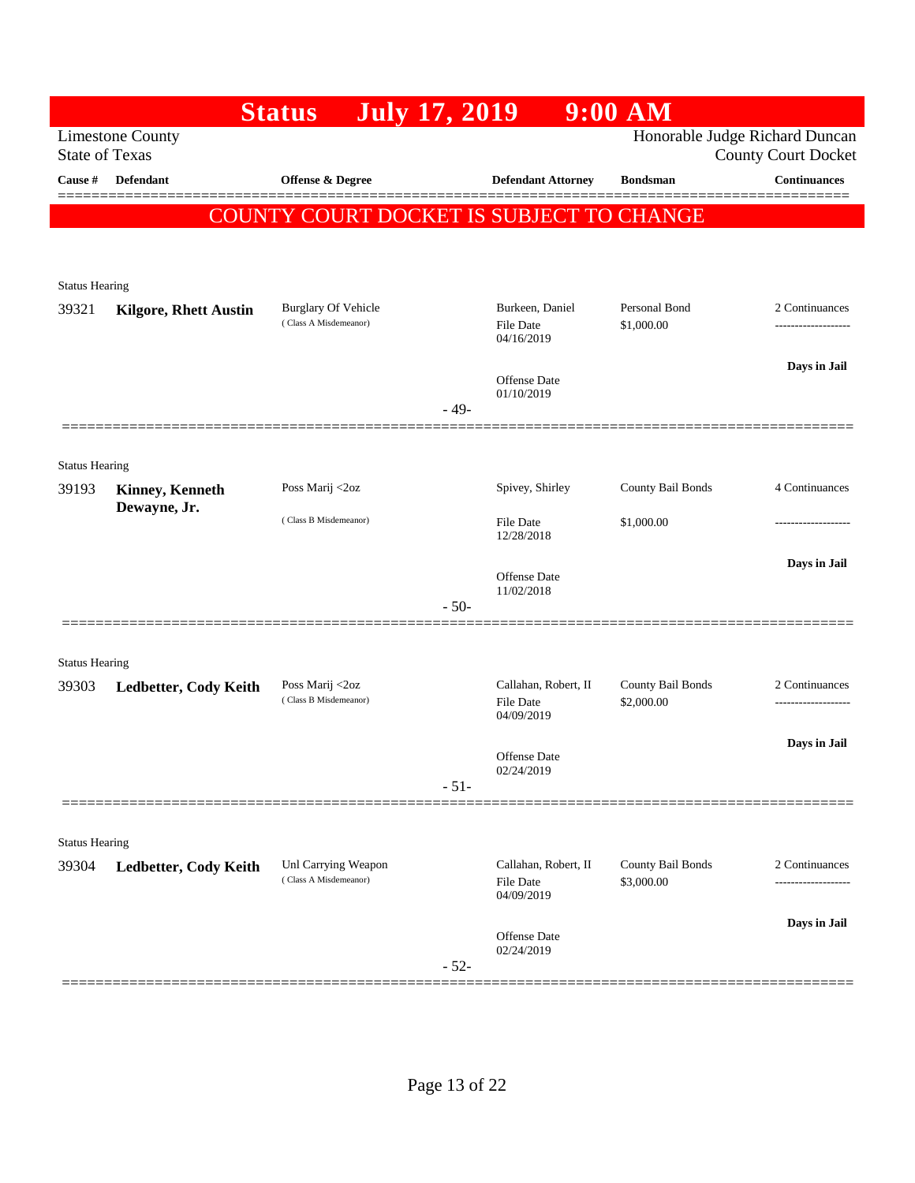|                       |                                                  | <b>Status</b><br><b>July 17, 2019</b>        |        |                                                        | $9:00$ AM                       |                                                              |
|-----------------------|--------------------------------------------------|----------------------------------------------|--------|--------------------------------------------------------|---------------------------------|--------------------------------------------------------------|
|                       | <b>Limestone County</b><br><b>State of Texas</b> |                                              |        |                                                        |                                 | Honorable Judge Richard Duncan<br><b>County Court Docket</b> |
| Cause #               | Defendant                                        | <b>Offense &amp; Degree</b>                  |        | <b>Defendant Attorney</b>                              | <b>Bondsman</b>                 | <b>Continuances</b>                                          |
|                       |                                                  | COUNTY COURT DOCKET IS SUBJECT TO CHANGE     |        |                                                        |                                 |                                                              |
|                       |                                                  |                                              |        |                                                        |                                 |                                                              |
| <b>Status Hearing</b> |                                                  |                                              |        |                                                        |                                 |                                                              |
| 39321                 | <b>Kilgore, Rhett Austin</b>                     | <b>Burglary Of Vehicle</b>                   |        | Burkeen, Daniel                                        | Personal Bond                   | 2 Continuances                                               |
|                       |                                                  | (Class A Misdemeanor)                        |        | File Date<br>04/16/2019                                | \$1,000.00                      | ------------------                                           |
|                       |                                                  |                                              |        | <b>Offense</b> Date                                    |                                 | Days in Jail                                                 |
|                       |                                                  |                                              | $-49-$ | 01/10/2019                                             |                                 |                                                              |
|                       |                                                  |                                              |        |                                                        |                                 |                                                              |
| <b>Status Hearing</b> |                                                  |                                              |        |                                                        |                                 |                                                              |
| 39193                 | <b>Kinney, Kenneth</b>                           | Poss Marij <2oz                              |        | Spivey, Shirley                                        | County Bail Bonds               | 4 Continuances                                               |
|                       | Dewayne, Jr.                                     | (Class B Misdemeanor)                        |        | <b>File Date</b><br>12/28/2018                         | \$1,000.00                      | ----------------                                             |
|                       |                                                  |                                              |        |                                                        |                                 | Days in Jail                                                 |
|                       |                                                  |                                              |        | <b>Offense</b> Date<br>11/02/2018                      |                                 |                                                              |
|                       |                                                  |                                              | $-50-$ |                                                        |                                 |                                                              |
| <b>Status Hearing</b> |                                                  |                                              |        |                                                        |                                 |                                                              |
| 39303                 | Ledbetter, Cody Keith                            | Poss Marij <2oz                              |        | Callahan, Robert, II                                   | County Bail Bonds               | 2 Continuances                                               |
|                       |                                                  | (Class B Misdemeanor)                        |        | <b>File Date</b><br>04/09/2019                         | \$2,000.00                      | ------------------                                           |
|                       |                                                  |                                              |        |                                                        |                                 | Days in Jail                                                 |
|                       |                                                  |                                              |        | <b>Offense</b> Date<br>02/24/2019                      |                                 |                                                              |
|                       |                                                  |                                              | $-51-$ |                                                        |                                 |                                                              |
| <b>Status Hearing</b> |                                                  |                                              |        |                                                        |                                 |                                                              |
| 39304                 | Ledbetter, Cody Keith                            | Unl Carrying Weapon<br>(Class A Misdemeanor) |        | Callahan, Robert, II<br><b>File Date</b><br>04/09/2019 | County Bail Bonds<br>\$3,000.00 | 2 Continuances                                               |
|                       |                                                  |                                              |        |                                                        |                                 |                                                              |
|                       |                                                  |                                              |        |                                                        |                                 | Days in Jail                                                 |
|                       |                                                  |                                              | $-52-$ | Offense Date<br>02/24/2019                             |                                 |                                                              |
|                       |                                                  |                                              |        |                                                        |                                 |                                                              |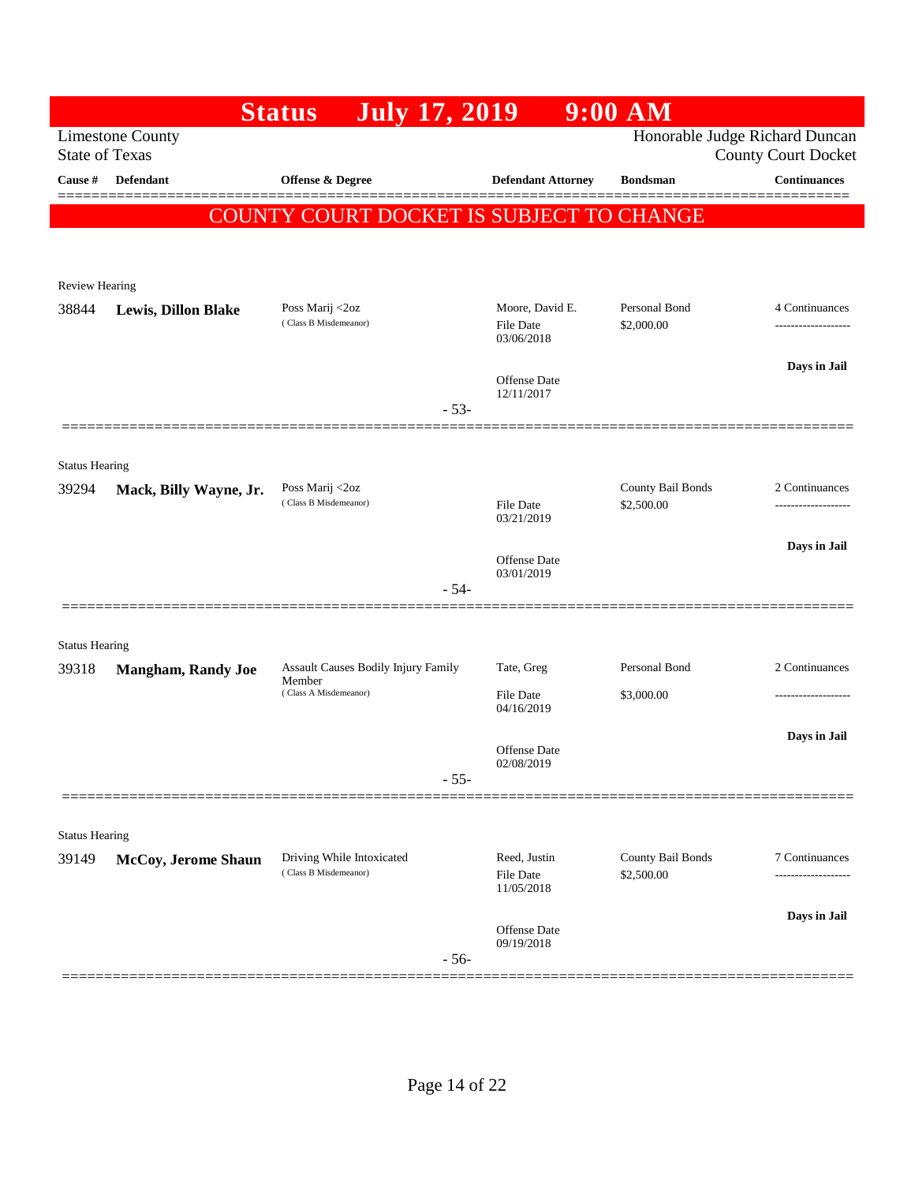| Honorable Judge Richard Duncan<br><b>Limestone County</b><br><b>State of Texas</b><br><b>County Court Docket</b><br>Cause #<br>Defendant<br><b>Offense &amp; Degree</b><br><b>Defendant Attorney</b><br><b>Bondsman</b><br>COUNTY COURT DOCKET IS SUBJECT TO CHANGE<br><b>Review Hearing</b><br>Personal Bond<br>Poss Marij <2oz<br>Moore, David E.<br>38844<br><b>Lewis, Dillon Blake</b><br>(Class B Misdemeanor)<br>\$2,000.00<br>File Date<br>03/06/2018<br><b>Offense</b> Date<br>12/11/2017<br>$-53-$<br><b>Status Hearing</b><br>County Bail Bonds<br>Poss Marij <2oz<br>39294<br>Mack, Billy Wayne, Jr.<br>(Class B Misdemeanor)<br>\$2,500.00<br>File Date<br>03/21/2019<br>Offense Date<br>03/01/2019<br>$-54-$<br><b>Status Hearing</b><br>Assault Causes Bodily Injury Family<br>Tate, Greg<br>Personal Bond<br>39318<br><b>Mangham, Randy Joe</b><br>Member<br>(Class A Misdemeanor)<br>\$3,000.00<br>File Date<br>04/16/2019<br><b>Offense</b> Date<br>02/08/2019<br>$-55-$<br><b>Status Hearing</b><br>Driving While Intoxicated<br>Reed, Justin<br>County Bail Bonds<br>39149<br>McCoy, Jerome Shaun<br>(Class B Misdemeanor)<br>File Date<br>\$2,500.00<br>11/05/2018<br>Offense Date |  | <b>Status</b><br><b>July 17, 2019</b> | $9:00$ AM |                                       |
|--------------------------------------------------------------------------------------------------------------------------------------------------------------------------------------------------------------------------------------------------------------------------------------------------------------------------------------------------------------------------------------------------------------------------------------------------------------------------------------------------------------------------------------------------------------------------------------------------------------------------------------------------------------------------------------------------------------------------------------------------------------------------------------------------------------------------------------------------------------------------------------------------------------------------------------------------------------------------------------------------------------------------------------------------------------------------------------------------------------------------------------------------------------------------------------------------------|--|---------------------------------------|-----------|---------------------------------------|
|                                                                                                                                                                                                                                                                                                                                                                                                                                                                                                                                                                                                                                                                                                                                                                                                                                                                                                                                                                                                                                                                                                                                                                                                        |  |                                       |           |                                       |
|                                                                                                                                                                                                                                                                                                                                                                                                                                                                                                                                                                                                                                                                                                                                                                                                                                                                                                                                                                                                                                                                                                                                                                                                        |  |                                       |           | <b>Continuances</b>                   |
|                                                                                                                                                                                                                                                                                                                                                                                                                                                                                                                                                                                                                                                                                                                                                                                                                                                                                                                                                                                                                                                                                                                                                                                                        |  |                                       |           |                                       |
|                                                                                                                                                                                                                                                                                                                                                                                                                                                                                                                                                                                                                                                                                                                                                                                                                                                                                                                                                                                                                                                                                                                                                                                                        |  |                                       |           |                                       |
|                                                                                                                                                                                                                                                                                                                                                                                                                                                                                                                                                                                                                                                                                                                                                                                                                                                                                                                                                                                                                                                                                                                                                                                                        |  |                                       |           |                                       |
|                                                                                                                                                                                                                                                                                                                                                                                                                                                                                                                                                                                                                                                                                                                                                                                                                                                                                                                                                                                                                                                                                                                                                                                                        |  |                                       |           |                                       |
|                                                                                                                                                                                                                                                                                                                                                                                                                                                                                                                                                                                                                                                                                                                                                                                                                                                                                                                                                                                                                                                                                                                                                                                                        |  |                                       |           | 4 Continuances<br>------------------- |
|                                                                                                                                                                                                                                                                                                                                                                                                                                                                                                                                                                                                                                                                                                                                                                                                                                                                                                                                                                                                                                                                                                                                                                                                        |  |                                       |           | Days in Jail                          |
|                                                                                                                                                                                                                                                                                                                                                                                                                                                                                                                                                                                                                                                                                                                                                                                                                                                                                                                                                                                                                                                                                                                                                                                                        |  |                                       |           |                                       |
|                                                                                                                                                                                                                                                                                                                                                                                                                                                                                                                                                                                                                                                                                                                                                                                                                                                                                                                                                                                                                                                                                                                                                                                                        |  |                                       |           |                                       |
|                                                                                                                                                                                                                                                                                                                                                                                                                                                                                                                                                                                                                                                                                                                                                                                                                                                                                                                                                                                                                                                                                                                                                                                                        |  |                                       |           | 2 Continuances                        |
|                                                                                                                                                                                                                                                                                                                                                                                                                                                                                                                                                                                                                                                                                                                                                                                                                                                                                                                                                                                                                                                                                                                                                                                                        |  |                                       |           |                                       |
|                                                                                                                                                                                                                                                                                                                                                                                                                                                                                                                                                                                                                                                                                                                                                                                                                                                                                                                                                                                                                                                                                                                                                                                                        |  |                                       |           | Days in Jail                          |
|                                                                                                                                                                                                                                                                                                                                                                                                                                                                                                                                                                                                                                                                                                                                                                                                                                                                                                                                                                                                                                                                                                                                                                                                        |  |                                       |           |                                       |
|                                                                                                                                                                                                                                                                                                                                                                                                                                                                                                                                                                                                                                                                                                                                                                                                                                                                                                                                                                                                                                                                                                                                                                                                        |  |                                       |           |                                       |
|                                                                                                                                                                                                                                                                                                                                                                                                                                                                                                                                                                                                                                                                                                                                                                                                                                                                                                                                                                                                                                                                                                                                                                                                        |  |                                       |           |                                       |
|                                                                                                                                                                                                                                                                                                                                                                                                                                                                                                                                                                                                                                                                                                                                                                                                                                                                                                                                                                                                                                                                                                                                                                                                        |  |                                       |           | 2 Continuances                        |
|                                                                                                                                                                                                                                                                                                                                                                                                                                                                                                                                                                                                                                                                                                                                                                                                                                                                                                                                                                                                                                                                                                                                                                                                        |  |                                       |           | ------------------                    |
|                                                                                                                                                                                                                                                                                                                                                                                                                                                                                                                                                                                                                                                                                                                                                                                                                                                                                                                                                                                                                                                                                                                                                                                                        |  |                                       |           | Days in Jail                          |
|                                                                                                                                                                                                                                                                                                                                                                                                                                                                                                                                                                                                                                                                                                                                                                                                                                                                                                                                                                                                                                                                                                                                                                                                        |  |                                       |           |                                       |
|                                                                                                                                                                                                                                                                                                                                                                                                                                                                                                                                                                                                                                                                                                                                                                                                                                                                                                                                                                                                                                                                                                                                                                                                        |  |                                       |           |                                       |
|                                                                                                                                                                                                                                                                                                                                                                                                                                                                                                                                                                                                                                                                                                                                                                                                                                                                                                                                                                                                                                                                                                                                                                                                        |  |                                       |           |                                       |
|                                                                                                                                                                                                                                                                                                                                                                                                                                                                                                                                                                                                                                                                                                                                                                                                                                                                                                                                                                                                                                                                                                                                                                                                        |  |                                       |           | 7 Continuances<br>.                   |
|                                                                                                                                                                                                                                                                                                                                                                                                                                                                                                                                                                                                                                                                                                                                                                                                                                                                                                                                                                                                                                                                                                                                                                                                        |  |                                       |           | Days in Jail                          |
| 09/19/2018<br>$-56-$                                                                                                                                                                                                                                                                                                                                                                                                                                                                                                                                                                                                                                                                                                                                                                                                                                                                                                                                                                                                                                                                                                                                                                                   |  |                                       |           |                                       |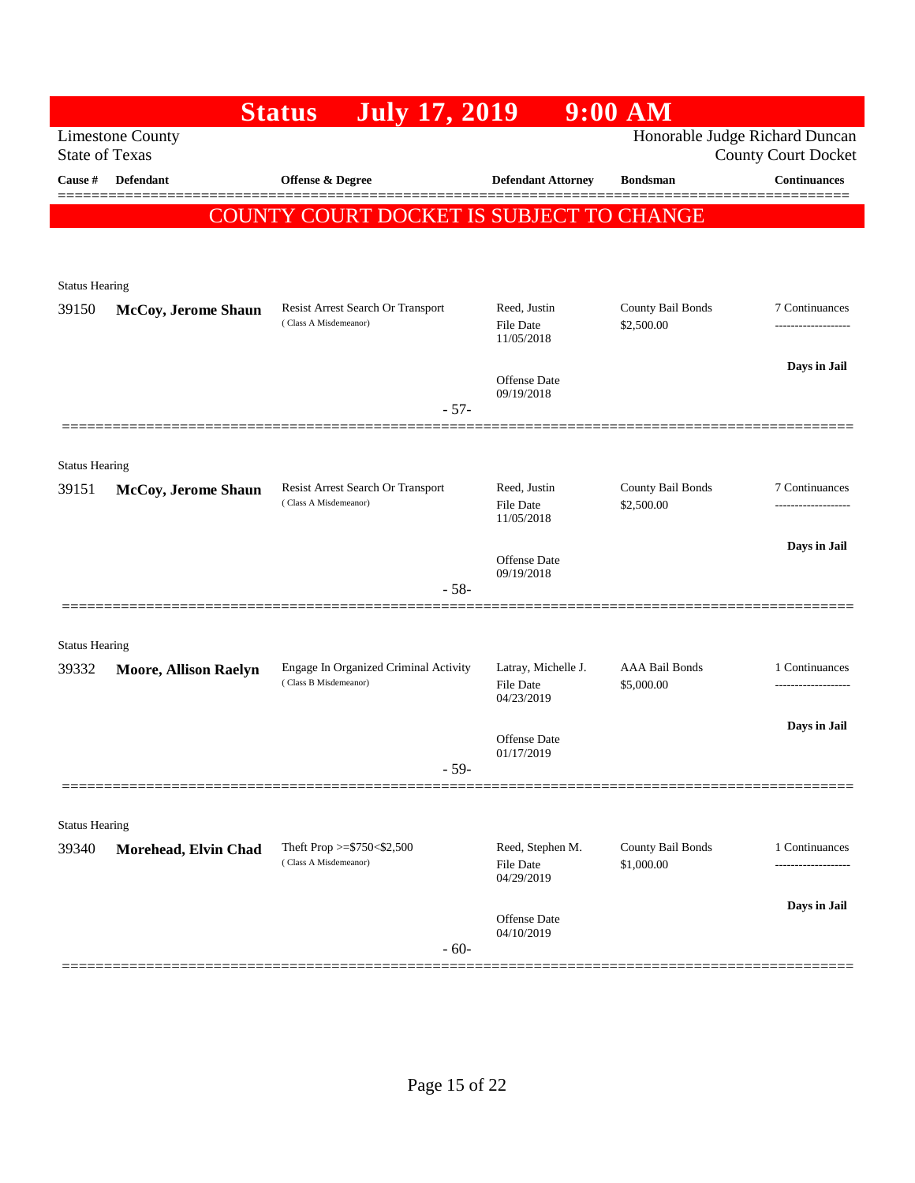| Honorable Judge Richard Duncan<br><b>Limestone County</b><br><b>State of Texas</b><br><b>County Court Docket</b><br><b>Continuances</b><br>Cause #<br>Defendant<br>Offense & Degree<br><b>Defendant Attorney</b><br><b>Bondsman</b><br>COUNTY COURT DOCKET IS SUBJECT TO CHANGE<br><b>Status Hearing</b><br>County Bail Bonds<br>Resist Arrest Search Or Transport<br>Reed, Justin<br>7 Continuances<br>39150<br>McCoy, Jerome Shaun<br>(Class A Misdemeanor)<br>\$2,500.00<br><b>File Date</b><br>-----------------<br>11/05/2018<br>Days in Jail<br>Offense Date<br>09/19/2018<br>$-57-$<br><b>Status Hearing</b><br>Resist Arrest Search Or Transport<br>Reed, Justin<br>County Bail Bonds<br>7 Continuances<br>39151<br>McCoy, Jerome Shaun<br>(Class A Misdemeanor)<br><b>File Date</b><br>\$2,500.00<br>-------------------<br>11/05/2018<br>Days in Jail<br><b>Offense</b> Date<br>09/19/2018<br>$-58-$<br>===============<br><b>Status Hearing</b><br><b>AAA Bail Bonds</b><br>Engage In Organized Criminal Activity<br>Latray, Michelle J.<br>1 Continuances<br>39332<br><b>Moore, Allison Raelyn</b><br>(Class B Misdemeanor)<br>\$5,000.00<br>File Date<br><br>04/23/2019<br>Days in Jail<br><b>Offense</b> Date<br>01/17/2019<br>- 59-<br><b>Status Hearing</b><br>County Bail Bonds<br>Theft Prop $>=$ \$750 < \$2,500<br>Reed, Stephen M.<br>1 Continuances<br>Morehead, Elvin Chad<br>39340<br>(Class A Misdemeanor)<br>\$1,000.00<br>File Date<br>04/29/2019<br>Days in Jail<br>Offense Date<br>04/10/2019<br>$-60-$ |  | <b>July 17, 2019</b><br><b>Status</b> | $9:00$ AM |  |
|--------------------------------------------------------------------------------------------------------------------------------------------------------------------------------------------------------------------------------------------------------------------------------------------------------------------------------------------------------------------------------------------------------------------------------------------------------------------------------------------------------------------------------------------------------------------------------------------------------------------------------------------------------------------------------------------------------------------------------------------------------------------------------------------------------------------------------------------------------------------------------------------------------------------------------------------------------------------------------------------------------------------------------------------------------------------------------------------------------------------------------------------------------------------------------------------------------------------------------------------------------------------------------------------------------------------------------------------------------------------------------------------------------------------------------------------------------------------------------------------------------------------------------------|--|---------------------------------------|-----------|--|
|                                                                                                                                                                                                                                                                                                                                                                                                                                                                                                                                                                                                                                                                                                                                                                                                                                                                                                                                                                                                                                                                                                                                                                                                                                                                                                                                                                                                                                                                                                                                      |  |                                       |           |  |
|                                                                                                                                                                                                                                                                                                                                                                                                                                                                                                                                                                                                                                                                                                                                                                                                                                                                                                                                                                                                                                                                                                                                                                                                                                                                                                                                                                                                                                                                                                                                      |  |                                       |           |  |
|                                                                                                                                                                                                                                                                                                                                                                                                                                                                                                                                                                                                                                                                                                                                                                                                                                                                                                                                                                                                                                                                                                                                                                                                                                                                                                                                                                                                                                                                                                                                      |  |                                       |           |  |
|                                                                                                                                                                                                                                                                                                                                                                                                                                                                                                                                                                                                                                                                                                                                                                                                                                                                                                                                                                                                                                                                                                                                                                                                                                                                                                                                                                                                                                                                                                                                      |  |                                       |           |  |
|                                                                                                                                                                                                                                                                                                                                                                                                                                                                                                                                                                                                                                                                                                                                                                                                                                                                                                                                                                                                                                                                                                                                                                                                                                                                                                                                                                                                                                                                                                                                      |  |                                       |           |  |
|                                                                                                                                                                                                                                                                                                                                                                                                                                                                                                                                                                                                                                                                                                                                                                                                                                                                                                                                                                                                                                                                                                                                                                                                                                                                                                                                                                                                                                                                                                                                      |  |                                       |           |  |
|                                                                                                                                                                                                                                                                                                                                                                                                                                                                                                                                                                                                                                                                                                                                                                                                                                                                                                                                                                                                                                                                                                                                                                                                                                                                                                                                                                                                                                                                                                                                      |  |                                       |           |  |
|                                                                                                                                                                                                                                                                                                                                                                                                                                                                                                                                                                                                                                                                                                                                                                                                                                                                                                                                                                                                                                                                                                                                                                                                                                                                                                                                                                                                                                                                                                                                      |  |                                       |           |  |
|                                                                                                                                                                                                                                                                                                                                                                                                                                                                                                                                                                                                                                                                                                                                                                                                                                                                                                                                                                                                                                                                                                                                                                                                                                                                                                                                                                                                                                                                                                                                      |  |                                       |           |  |
|                                                                                                                                                                                                                                                                                                                                                                                                                                                                                                                                                                                                                                                                                                                                                                                                                                                                                                                                                                                                                                                                                                                                                                                                                                                                                                                                                                                                                                                                                                                                      |  |                                       |           |  |
|                                                                                                                                                                                                                                                                                                                                                                                                                                                                                                                                                                                                                                                                                                                                                                                                                                                                                                                                                                                                                                                                                                                                                                                                                                                                                                                                                                                                                                                                                                                                      |  |                                       |           |  |
|                                                                                                                                                                                                                                                                                                                                                                                                                                                                                                                                                                                                                                                                                                                                                                                                                                                                                                                                                                                                                                                                                                                                                                                                                                                                                                                                                                                                                                                                                                                                      |  |                                       |           |  |
|                                                                                                                                                                                                                                                                                                                                                                                                                                                                                                                                                                                                                                                                                                                                                                                                                                                                                                                                                                                                                                                                                                                                                                                                                                                                                                                                                                                                                                                                                                                                      |  |                                       |           |  |
|                                                                                                                                                                                                                                                                                                                                                                                                                                                                                                                                                                                                                                                                                                                                                                                                                                                                                                                                                                                                                                                                                                                                                                                                                                                                                                                                                                                                                                                                                                                                      |  |                                       |           |  |
|                                                                                                                                                                                                                                                                                                                                                                                                                                                                                                                                                                                                                                                                                                                                                                                                                                                                                                                                                                                                                                                                                                                                                                                                                                                                                                                                                                                                                                                                                                                                      |  |                                       |           |  |
|                                                                                                                                                                                                                                                                                                                                                                                                                                                                                                                                                                                                                                                                                                                                                                                                                                                                                                                                                                                                                                                                                                                                                                                                                                                                                                                                                                                                                                                                                                                                      |  |                                       |           |  |
|                                                                                                                                                                                                                                                                                                                                                                                                                                                                                                                                                                                                                                                                                                                                                                                                                                                                                                                                                                                                                                                                                                                                                                                                                                                                                                                                                                                                                                                                                                                                      |  |                                       |           |  |
|                                                                                                                                                                                                                                                                                                                                                                                                                                                                                                                                                                                                                                                                                                                                                                                                                                                                                                                                                                                                                                                                                                                                                                                                                                                                                                                                                                                                                                                                                                                                      |  |                                       |           |  |
|                                                                                                                                                                                                                                                                                                                                                                                                                                                                                                                                                                                                                                                                                                                                                                                                                                                                                                                                                                                                                                                                                                                                                                                                                                                                                                                                                                                                                                                                                                                                      |  |                                       |           |  |
|                                                                                                                                                                                                                                                                                                                                                                                                                                                                                                                                                                                                                                                                                                                                                                                                                                                                                                                                                                                                                                                                                                                                                                                                                                                                                                                                                                                                                                                                                                                                      |  |                                       |           |  |
|                                                                                                                                                                                                                                                                                                                                                                                                                                                                                                                                                                                                                                                                                                                                                                                                                                                                                                                                                                                                                                                                                                                                                                                                                                                                                                                                                                                                                                                                                                                                      |  |                                       |           |  |
|                                                                                                                                                                                                                                                                                                                                                                                                                                                                                                                                                                                                                                                                                                                                                                                                                                                                                                                                                                                                                                                                                                                                                                                                                                                                                                                                                                                                                                                                                                                                      |  |                                       |           |  |
|                                                                                                                                                                                                                                                                                                                                                                                                                                                                                                                                                                                                                                                                                                                                                                                                                                                                                                                                                                                                                                                                                                                                                                                                                                                                                                                                                                                                                                                                                                                                      |  |                                       |           |  |
|                                                                                                                                                                                                                                                                                                                                                                                                                                                                                                                                                                                                                                                                                                                                                                                                                                                                                                                                                                                                                                                                                                                                                                                                                                                                                                                                                                                                                                                                                                                                      |  |                                       |           |  |
|                                                                                                                                                                                                                                                                                                                                                                                                                                                                                                                                                                                                                                                                                                                                                                                                                                                                                                                                                                                                                                                                                                                                                                                                                                                                                                                                                                                                                                                                                                                                      |  |                                       |           |  |
|                                                                                                                                                                                                                                                                                                                                                                                                                                                                                                                                                                                                                                                                                                                                                                                                                                                                                                                                                                                                                                                                                                                                                                                                                                                                                                                                                                                                                                                                                                                                      |  |                                       |           |  |
|                                                                                                                                                                                                                                                                                                                                                                                                                                                                                                                                                                                                                                                                                                                                                                                                                                                                                                                                                                                                                                                                                                                                                                                                                                                                                                                                                                                                                                                                                                                                      |  |                                       |           |  |
|                                                                                                                                                                                                                                                                                                                                                                                                                                                                                                                                                                                                                                                                                                                                                                                                                                                                                                                                                                                                                                                                                                                                                                                                                                                                                                                                                                                                                                                                                                                                      |  |                                       |           |  |
|                                                                                                                                                                                                                                                                                                                                                                                                                                                                                                                                                                                                                                                                                                                                                                                                                                                                                                                                                                                                                                                                                                                                                                                                                                                                                                                                                                                                                                                                                                                                      |  |                                       |           |  |
|                                                                                                                                                                                                                                                                                                                                                                                                                                                                                                                                                                                                                                                                                                                                                                                                                                                                                                                                                                                                                                                                                                                                                                                                                                                                                                                                                                                                                                                                                                                                      |  |                                       |           |  |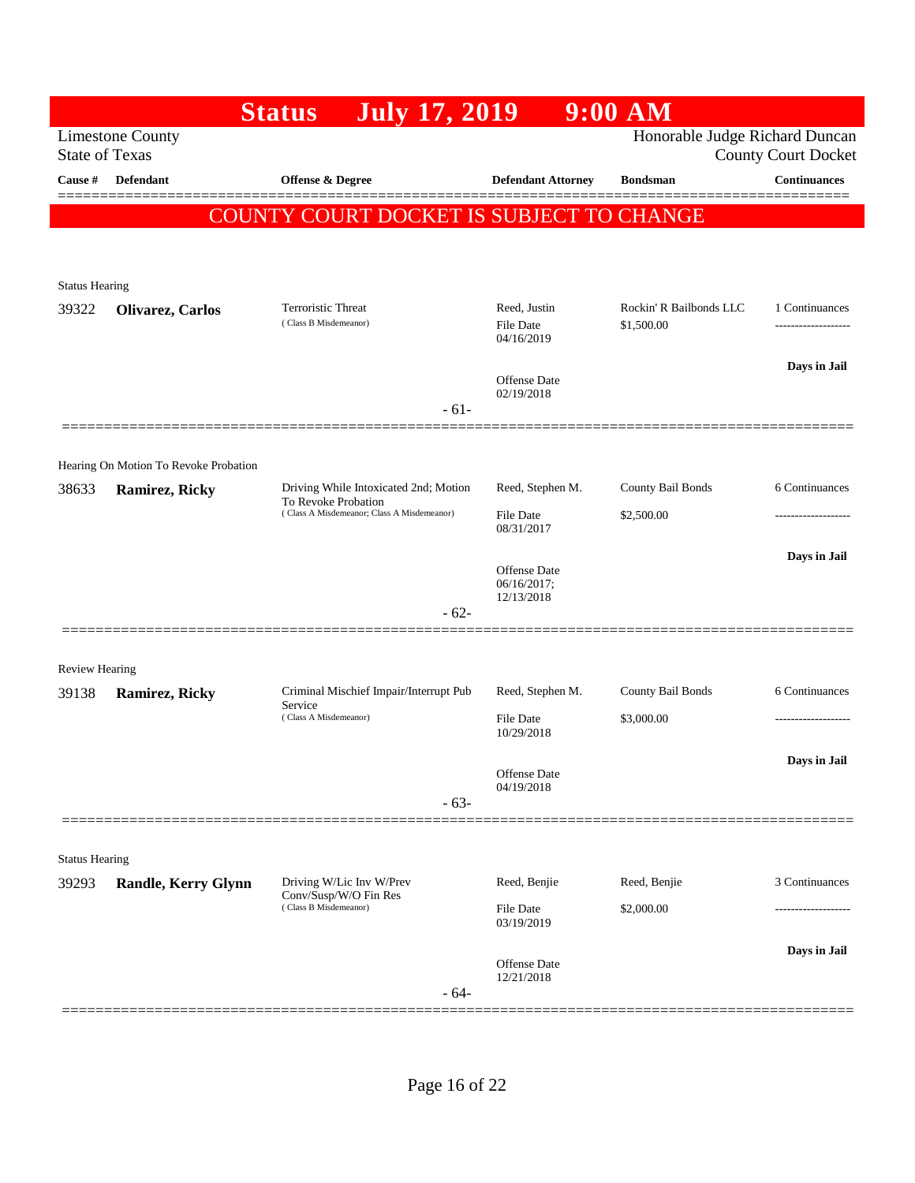|                                |                                                | <b>July 17, 2019</b><br><b>Status</b>                                                                      |                                         | $9:00$ AM                             |                            |
|--------------------------------|------------------------------------------------|------------------------------------------------------------------------------------------------------------|-----------------------------------------|---------------------------------------|----------------------------|
| <b>State of Texas</b>          | <b>Limestone County</b>                        |                                                                                                            |                                         | Honorable Judge Richard Duncan        | <b>County Court Docket</b> |
| Cause #                        | Defendant                                      | <b>Offense &amp; Degree</b>                                                                                | <b>Defendant Attorney</b>               | <b>Bondsman</b>                       | <b>Continuances</b>        |
|                                |                                                | COUNTY COURT DOCKET IS SUBJECT TO CHANGE                                                                   |                                         |                                       |                            |
|                                |                                                |                                                                                                            |                                         |                                       |                            |
|                                |                                                |                                                                                                            |                                         |                                       |                            |
| <b>Status Hearing</b>          |                                                |                                                                                                            |                                         |                                       |                            |
| 39322                          | Olivarez, Carlos                               | <b>Terroristic Threat</b><br>(Class B Misdemeanor)                                                         | Reed, Justin<br>File Date<br>04/16/2019 | Rockin' R Bailbonds LLC<br>\$1,500.00 | 1 Continuances             |
|                                |                                                |                                                                                                            | Offense Date                            |                                       | Days in Jail               |
|                                |                                                | $-61-$                                                                                                     | 02/19/2018                              |                                       |                            |
|                                |                                                |                                                                                                            |                                         |                                       |                            |
|                                | Hearing On Motion To Revoke Probation          |                                                                                                            | Reed, Stephen M.                        | County Bail Bonds                     | 6 Continuances             |
| 38633                          | <b>Ramirez, Ricky</b>                          | Driving While Intoxicated 2nd; Motion<br>To Revoke Probation<br>(Class A Misdemeanor; Class A Misdemeanor) | File Date                               | \$2,500.00                            | ------------------         |
|                                |                                                |                                                                                                            | 08/31/2017                              |                                       |                            |
|                                |                                                |                                                                                                            | <b>Offense</b> Date<br>06/16/2017;      |                                       | Days in Jail               |
|                                |                                                | $-62-$                                                                                                     | 12/13/2018                              |                                       |                            |
|                                |                                                |                                                                                                            |                                         |                                       |                            |
| <b>Review Hearing</b>          |                                                |                                                                                                            |                                         |                                       |                            |
| 39138                          | <b>Ramirez, Ricky</b>                          | Criminal Mischief Impair/Interrupt Pub<br>Service                                                          | Reed, Stephen M.                        | County Bail Bonds                     | 6 Continuances             |
|                                |                                                | (Class A Misdemeanor)                                                                                      | File Date<br>10/29/2018                 | \$3,000.00                            |                            |
|                                |                                                |                                                                                                            |                                         |                                       | Days in Jail               |
|                                |                                                |                                                                                                            | Offense Date<br>04/19/2018              |                                       |                            |
|                                |                                                | $-63-$                                                                                                     |                                         |                                       |                            |
|                                |                                                |                                                                                                            |                                         |                                       |                            |
| <b>Status Hearing</b><br>39293 | Randle, Kerry Glynn                            | Driving W/Lic Inv W/Prev                                                                                   | Reed, Benjie                            | Reed, Benjie                          | 3 Continuances             |
|                                | Conv/Susp/W/O Fin Res<br>(Class B Misdemeanor) |                                                                                                            | <b>File Date</b>                        | \$2,000.00                            |                            |
|                                |                                                |                                                                                                            | 03/19/2019                              |                                       |                            |
|                                |                                                | $-64-$                                                                                                     | <b>Offense</b> Date<br>12/21/2018       |                                       | Days in Jail               |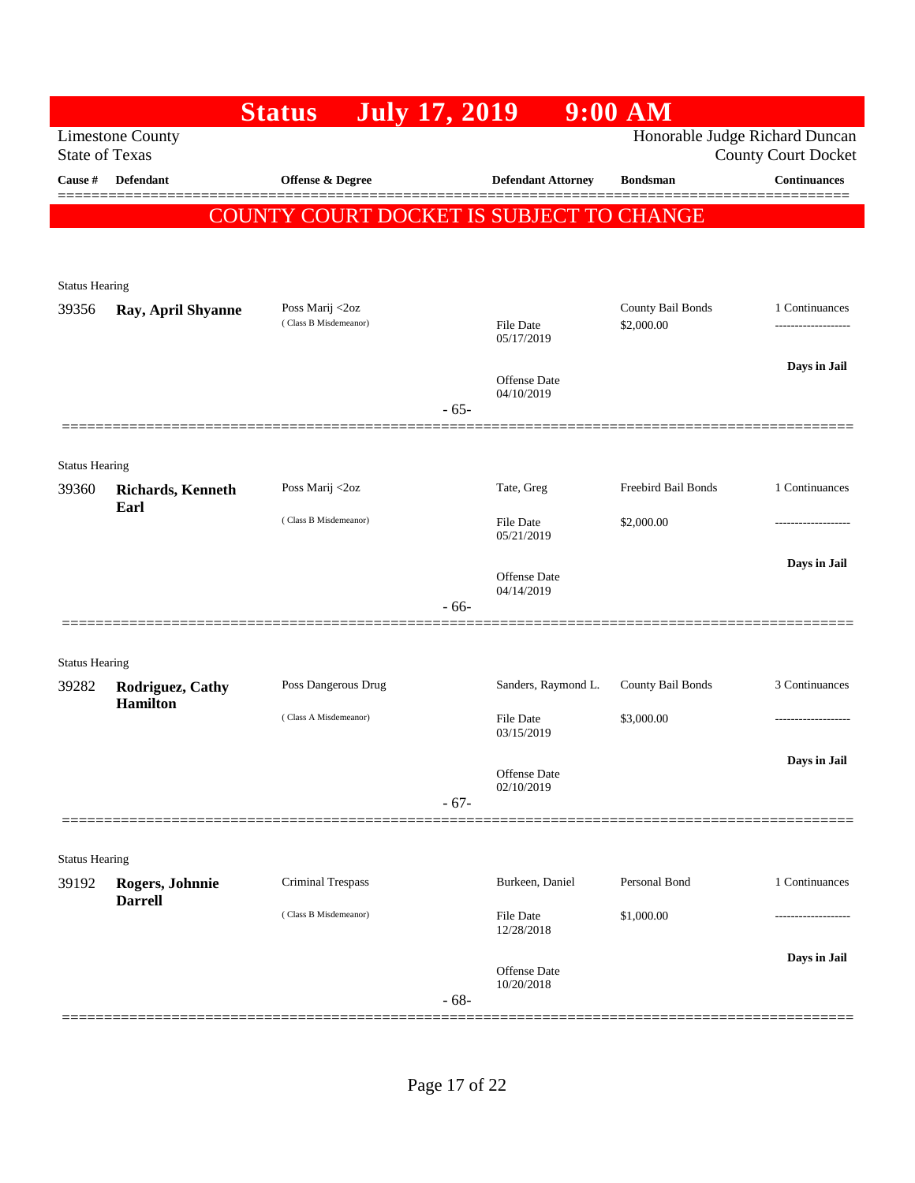|                                |                                   | <b>Status</b><br><b>July 17, 2019</b>    |        |                                   | $9:00$ AM           |                                                              |
|--------------------------------|-----------------------------------|------------------------------------------|--------|-----------------------------------|---------------------|--------------------------------------------------------------|
| <b>State of Texas</b>          | <b>Limestone County</b>           |                                          |        |                                   |                     | Honorable Judge Richard Duncan<br><b>County Court Docket</b> |
| Cause #                        | <b>Defendant</b>                  | Offense & Degree                         |        | <b>Defendant Attorney</b>         | <b>Bondsman</b>     | <b>Continuances</b>                                          |
|                                |                                   | COUNTY COURT DOCKET IS SUBJECT TO CHANGE |        |                                   |                     |                                                              |
|                                |                                   |                                          |        |                                   |                     |                                                              |
| <b>Status Hearing</b>          |                                   |                                          |        |                                   |                     |                                                              |
| 39356                          | Ray, April Shyanne                | Poss Marij <2oz                          |        |                                   | County Bail Bonds   | 1 Continuances                                               |
|                                |                                   | (Class B Misdemeanor)                    |        | File Date<br>05/17/2019           | \$2,000.00          |                                                              |
|                                |                                   |                                          |        |                                   |                     | Days in Jail                                                 |
|                                |                                   |                                          |        | Offense Date<br>04/10/2019        |                     |                                                              |
|                                |                                   |                                          | $-65-$ |                                   |                     |                                                              |
|                                |                                   |                                          |        |                                   |                     |                                                              |
| <b>Status Hearing</b><br>39360 | <b>Richards</b> , Kenneth         | Poss Marij <2oz                          |        | Tate, Greg                        | Freebird Bail Bonds | 1 Continuances                                               |
|                                | Earl                              | (Class B Misdemeanor)                    |        | File Date                         | \$2,000.00          | -----------------                                            |
|                                |                                   |                                          |        | 05/21/2019                        |                     |                                                              |
|                                |                                   |                                          |        | <b>Offense</b> Date               |                     | Days in Jail                                                 |
|                                |                                   |                                          | $-66-$ | 04/14/2019                        |                     |                                                              |
|                                |                                   |                                          |        |                                   |                     |                                                              |
| <b>Status Hearing</b>          |                                   |                                          |        |                                   |                     |                                                              |
| 39282                          | Rodriguez, Cathy                  | Poss Dangerous Drug                      |        | Sanders, Raymond L.               | County Bail Bonds   | 3 Continuances                                               |
|                                | <b>Hamilton</b>                   | (Class A Misdemeanor)                    |        | File Date                         | \$3,000.00          | .                                                            |
|                                |                                   |                                          |        | 03/15/2019                        |                     | Days in Jail                                                 |
|                                |                                   |                                          |        | Offense Date<br>02/10/2019        |                     |                                                              |
|                                |                                   |                                          | $-67-$ |                                   |                     |                                                              |
|                                |                                   |                                          |        |                                   |                     |                                                              |
| <b>Status Hearing</b>          |                                   |                                          |        |                                   |                     |                                                              |
| 39192                          | Rogers, Johnnie<br><b>Darrell</b> | Criminal Trespass                        |        | Burkeen, Daniel                   | Personal Bond       | 1 Continuances                                               |
|                                |                                   | (Class B Misdemeanor)                    |        | File Date<br>12/28/2018           | \$1,000.00          |                                                              |
|                                |                                   |                                          |        |                                   |                     | Days in Jail                                                 |
|                                |                                   |                                          |        | <b>Offense</b> Date<br>10/20/2018 |                     |                                                              |
|                                |                                   |                                          | $-68-$ |                                   |                     |                                                              |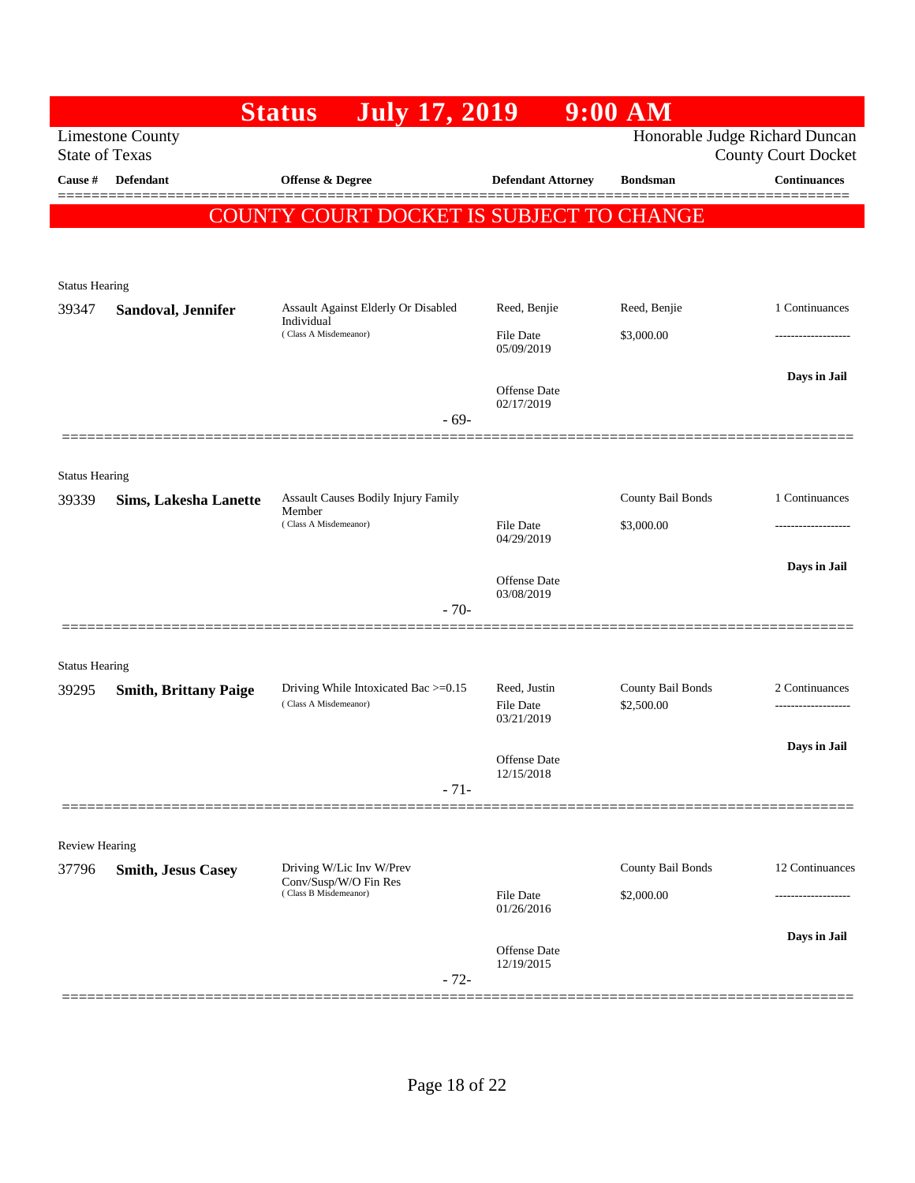|                                |                              | <b>July 17, 2019</b><br><b>Status</b>                         |                                   | $9:00$ AM                       |                                       |
|--------------------------------|------------------------------|---------------------------------------------------------------|-----------------------------------|---------------------------------|---------------------------------------|
| <b>State of Texas</b>          | <b>Limestone County</b>      |                                                               |                                   | Honorable Judge Richard Duncan  | <b>County Court Docket</b>            |
| Cause #                        | <b>Defendant</b>             | Offense & Degree                                              | <b>Defendant Attorney</b>         | <b>Bondsman</b>                 | <b>Continuances</b>                   |
|                                |                              | COUNTY COURT DOCKET IS SUBJECT TO CHANGE                      |                                   |                                 |                                       |
|                                |                              |                                                               |                                   |                                 |                                       |
| <b>Status Hearing</b>          |                              |                                                               |                                   |                                 |                                       |
| 39347                          | Sandoval, Jennifer           | Assault Against Elderly Or Disabled<br>Individual             | Reed, Benjie                      | Reed, Benjie                    | 1 Continuances                        |
|                                |                              | (Class A Misdemeanor)                                         | <b>File Date</b><br>05/09/2019    | \$3,000.00                      | -------------------                   |
|                                |                              |                                                               |                                   |                                 | Days in Jail                          |
|                                |                              | $-69-$                                                        | <b>Offense</b> Date<br>02/17/2019 |                                 |                                       |
|                                |                              |                                                               |                                   |                                 |                                       |
| <b>Status Hearing</b>          |                              |                                                               |                                   |                                 |                                       |
| 39339                          | <b>Sims, Lakesha Lanette</b> | <b>Assault Causes Bodily Injury Family</b><br>Member          |                                   | County Bail Bonds               | 1 Continuances                        |
|                                |                              | (Class A Misdemeanor)                                         | <b>File Date</b><br>04/29/2019    | \$3,000.00                      |                                       |
|                                |                              |                                                               | Offense Date                      |                                 | Days in Jail                          |
|                                |                              | $-70-$                                                        | 03/08/2019                        |                                 |                                       |
|                                |                              |                                                               |                                   |                                 |                                       |
| <b>Status Hearing</b>          |                              |                                                               |                                   |                                 |                                       |
| 39295                          | <b>Smith, Brittany Paige</b> | Driving While Intoxicated Bac >=0.15<br>(Class A Misdemeanor) | Reed, Justin<br>File Date         | County Bail Bonds<br>\$2,500.00 | 2 Continuances<br>------------------- |
|                                |                              |                                                               | 03/21/2019                        |                                 |                                       |
|                                |                              |                                                               | Offense Date<br>12/15/2018        |                                 | Days in Jail                          |
|                                |                              | $-71-$                                                        |                                   |                                 |                                       |
|                                |                              |                                                               |                                   |                                 |                                       |
| <b>Review Hearing</b><br>37796 | <b>Smith, Jesus Casey</b>    | Driving W/Lic Inv W/Prev                                      |                                   | County Bail Bonds               | 12 Continuances                       |
|                                |                              | Conv/Susp/W/O Fin Res<br>(Class B Misdemeanor)                | File Date                         | \$2,000.00                      | ----------------                      |
|                                |                              |                                                               | 01/26/2016                        |                                 | Days in Jail                          |
|                                |                              |                                                               | <b>Offense</b> Date<br>12/19/2015 |                                 |                                       |
|                                |                              | $-72-$                                                        |                                   |                                 |                                       |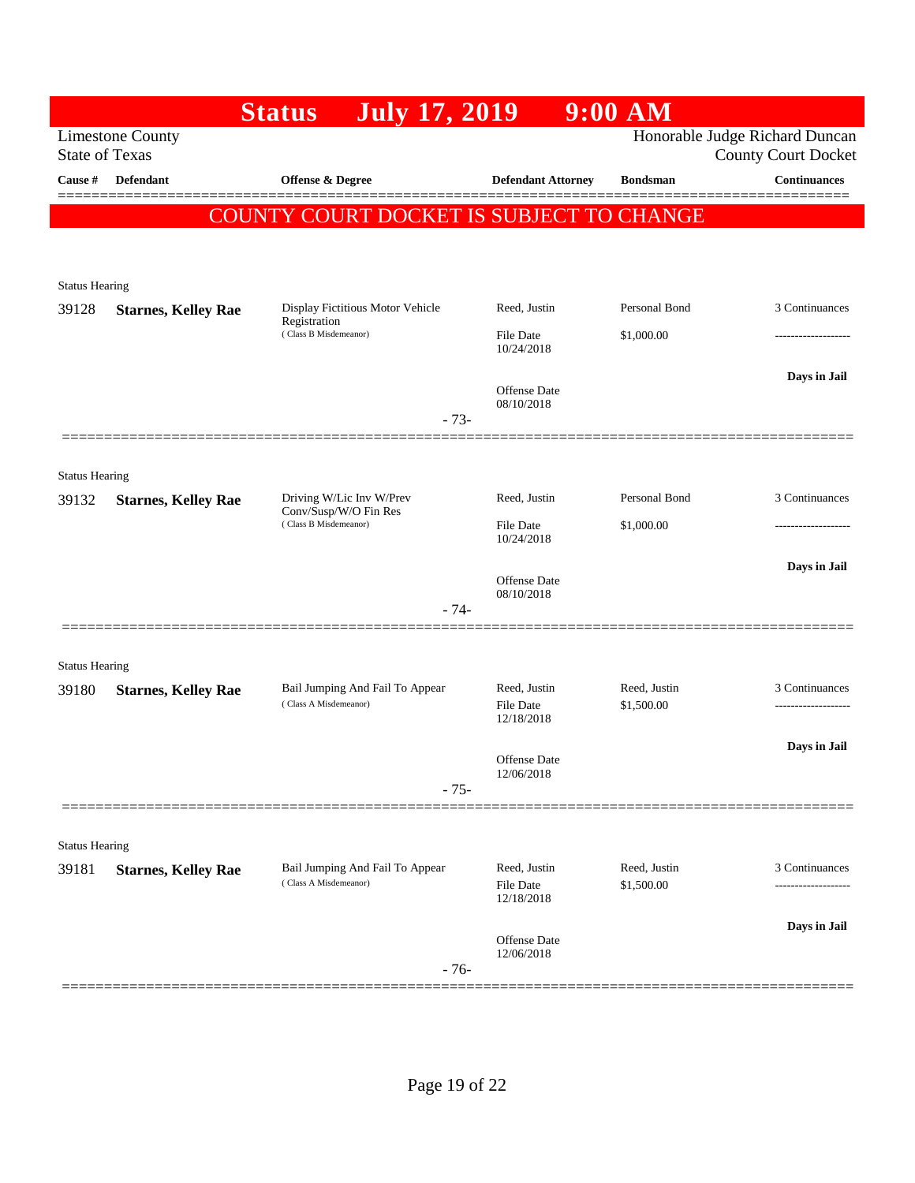|                       |                                                  | <b>July 17, 2019</b><br><b>Status</b>                    |                                                | $9:00$ AM                  |                                                              |
|-----------------------|--------------------------------------------------|----------------------------------------------------------|------------------------------------------------|----------------------------|--------------------------------------------------------------|
|                       | <b>Limestone County</b><br><b>State of Texas</b> |                                                          |                                                |                            | Honorable Judge Richard Duncan<br><b>County Court Docket</b> |
| Cause #               | Defendant                                        | Offense & Degree                                         | <b>Defendant Attorney</b>                      | <b>Bondsman</b>            | <b>Continuances</b>                                          |
|                       |                                                  | COUNTY COURT DOCKET IS SUBJECT TO CHANGE                 |                                                |                            |                                                              |
|                       |                                                  |                                                          |                                                |                            |                                                              |
| <b>Status Hearing</b> |                                                  |                                                          |                                                |                            |                                                              |
| 39128                 | <b>Starnes, Kelley Rae</b>                       | Display Fictitious Motor Vehicle<br>Registration         | Reed, Justin                                   | Personal Bond              | 3 Continuances                                               |
|                       |                                                  | (Class B Misdemeanor)                                    | <b>File Date</b><br>10/24/2018                 | \$1,000.00                 | -------------------                                          |
|                       |                                                  |                                                          | <b>Offense</b> Date                            |                            | Days in Jail                                                 |
|                       |                                                  | $-73-$                                                   | 08/10/2018                                     |                            |                                                              |
|                       |                                                  |                                                          |                                                |                            |                                                              |
| <b>Status Hearing</b> |                                                  |                                                          |                                                |                            |                                                              |
| 39132                 | <b>Starnes, Kelley Rae</b>                       | Driving W/Lic Inv W/Prev<br>Conv/Susp/W/O Fin Res        | Reed, Justin                                   | Personal Bond              | 3 Continuances                                               |
|                       |                                                  | (Class B Misdemeanor)                                    | File Date<br>10/24/2018                        | \$1,000.00                 |                                                              |
|                       |                                                  |                                                          |                                                |                            | Days in Jail                                                 |
|                       |                                                  | $-74-$                                                   | Offense Date<br>08/10/2018                     |                            |                                                              |
|                       |                                                  |                                                          |                                                |                            |                                                              |
| <b>Status Hearing</b> |                                                  |                                                          |                                                |                            |                                                              |
| 39180                 | <b>Starnes, Kelley Rae</b>                       | Bail Jumping And Fail To Appear<br>(Class A Misdemeanor) | Reed, Justin                                   | Reed, Justin               | 3 Continuances                                               |
|                       |                                                  |                                                          | <b>File Date</b><br>12/18/2018                 | \$1,500.00                 | -------------------                                          |
|                       |                                                  |                                                          | Offense Date                                   |                            | Days in Jail                                                 |
|                       |                                                  | $-75-$                                                   | 12/06/2018                                     |                            |                                                              |
|                       |                                                  |                                                          |                                                |                            |                                                              |
| <b>Status Hearing</b> |                                                  |                                                          |                                                |                            |                                                              |
| 39181                 | <b>Starnes, Kelley Rae</b>                       | Bail Jumping And Fail To Appear<br>(Class A Misdemeanor) | Reed, Justin<br><b>File Date</b><br>12/18/2018 | Reed, Justin<br>\$1,500.00 | 3 Continuances                                               |
|                       |                                                  |                                                          |                                                |                            | Days in Jail                                                 |
|                       |                                                  | $-76-$                                                   | Offense Date<br>12/06/2018                     |                            |                                                              |
|                       |                                                  |                                                          |                                                |                            |                                                              |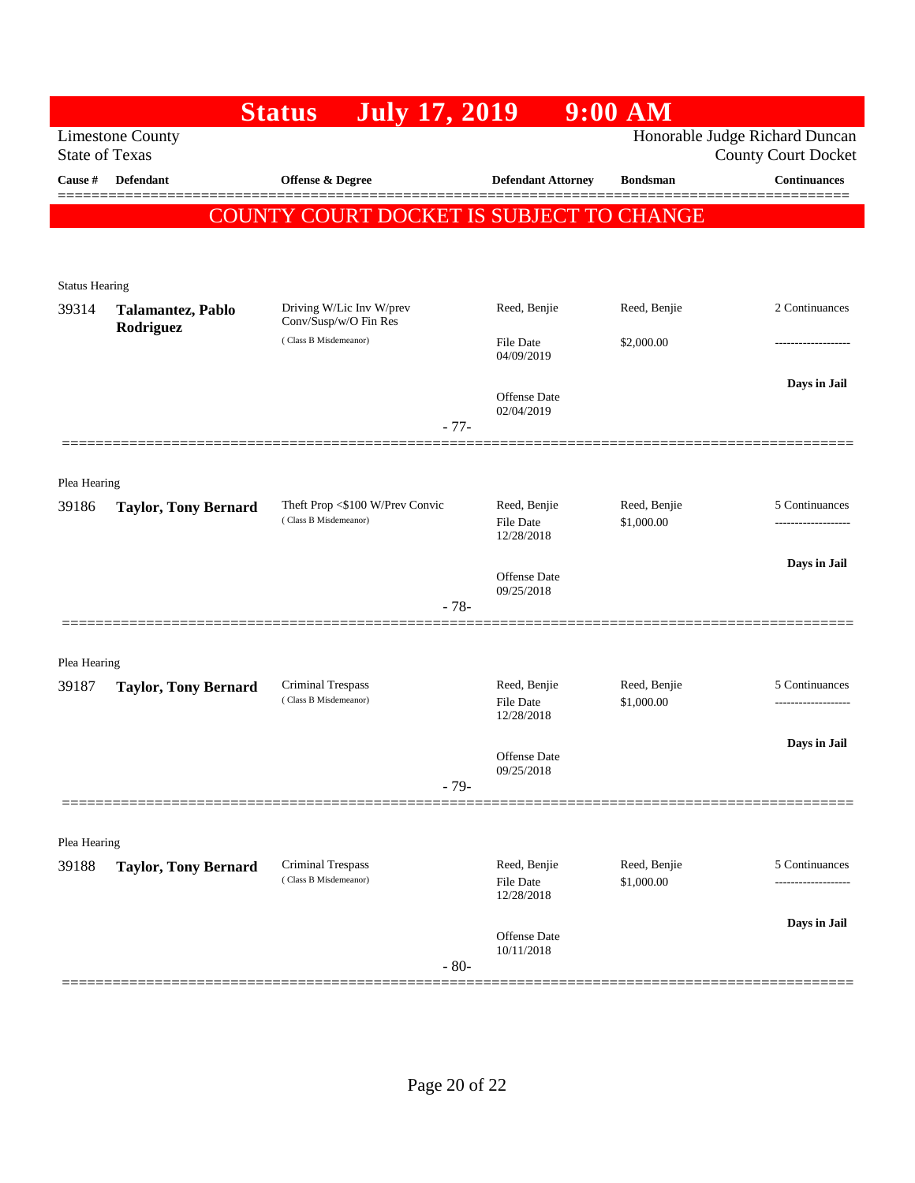|                       |                                                  | <b>Status</b><br><b>July 17, 2019</b>          |                                                | $9:00$ AM                  |                                                              |
|-----------------------|--------------------------------------------------|------------------------------------------------|------------------------------------------------|----------------------------|--------------------------------------------------------------|
|                       | <b>Limestone County</b><br><b>State of Texas</b> |                                                |                                                |                            | Honorable Judge Richard Duncan<br><b>County Court Docket</b> |
| Cause #               | <b>Defendant</b>                                 | <b>Offense &amp; Degree</b>                    | <b>Defendant Attorney</b>                      | <b>Bondsman</b>            | <b>Continuances</b>                                          |
|                       |                                                  | COUNTY COURT DOCKET IS SUBJECT TO CHANGE       |                                                |                            |                                                              |
|                       |                                                  |                                                |                                                |                            |                                                              |
| <b>Status Hearing</b> |                                                  |                                                |                                                |                            |                                                              |
| 39314                 | Talamantez, Pablo                                | Driving W/Lic Inv W/prev                       | Reed, Benjie                                   | Reed, Benjie               | 2 Continuances                                               |
|                       | Rodriguez                                        | Conv/Susp/w/O Fin Res<br>(Class B Misdemeanor) | File Date                                      | \$2,000.00                 |                                                              |
|                       |                                                  |                                                | 04/09/2019                                     |                            | Days in Jail                                                 |
|                       |                                                  |                                                | Offense Date<br>02/04/2019                     |                            |                                                              |
|                       |                                                  | $-77-$                                         |                                                |                            |                                                              |
|                       |                                                  |                                                |                                                |                            |                                                              |
| Plea Hearing<br>39186 | <b>Taylor, Tony Bernard</b>                      | Theft Prop <\$100 W/Prev Convic                | Reed, Benjie                                   | Reed, Benjie               | 5 Continuances                                               |
|                       |                                                  | (Class B Misdemeanor)                          | <b>File Date</b><br>12/28/2018                 | \$1,000.00                 | -----------------                                            |
|                       |                                                  |                                                |                                                |                            | Days in Jail                                                 |
|                       |                                                  | $-78-$                                         | <b>Offense</b> Date<br>09/25/2018              |                            |                                                              |
|                       |                                                  |                                                |                                                |                            |                                                              |
| Plea Hearing          |                                                  |                                                |                                                |                            |                                                              |
| 39187                 | <b>Taylor, Tony Bernard</b>                      | Criminal Trespass<br>(Class B Misdemeanor)     | Reed, Benjie                                   | Reed, Benjie<br>\$1,000.00 | 5 Continuances                                               |
|                       |                                                  |                                                | File Date<br>12/28/2018                        |                            | ------------------                                           |
|                       |                                                  |                                                | <b>Offense</b> Date                            |                            | Days in Jail                                                 |
|                       |                                                  | $-79-$                                         | 09/25/2018                                     |                            |                                                              |
|                       |                                                  |                                                |                                                |                            |                                                              |
| Plea Hearing          |                                                  |                                                |                                                |                            |                                                              |
| 39188                 | <b>Taylor, Tony Bernard</b>                      | Criminal Trespass<br>(Class B Misdemeanor)     | Reed, Benjie<br><b>File Date</b><br>12/28/2018 | Reed, Benjie<br>\$1,000.00 | 5 Continuances                                               |
|                       |                                                  |                                                |                                                |                            | Days in Jail                                                 |
|                       |                                                  | $-80-$                                         | Offense Date<br>10/11/2018                     |                            |                                                              |
|                       |                                                  |                                                |                                                |                            |                                                              |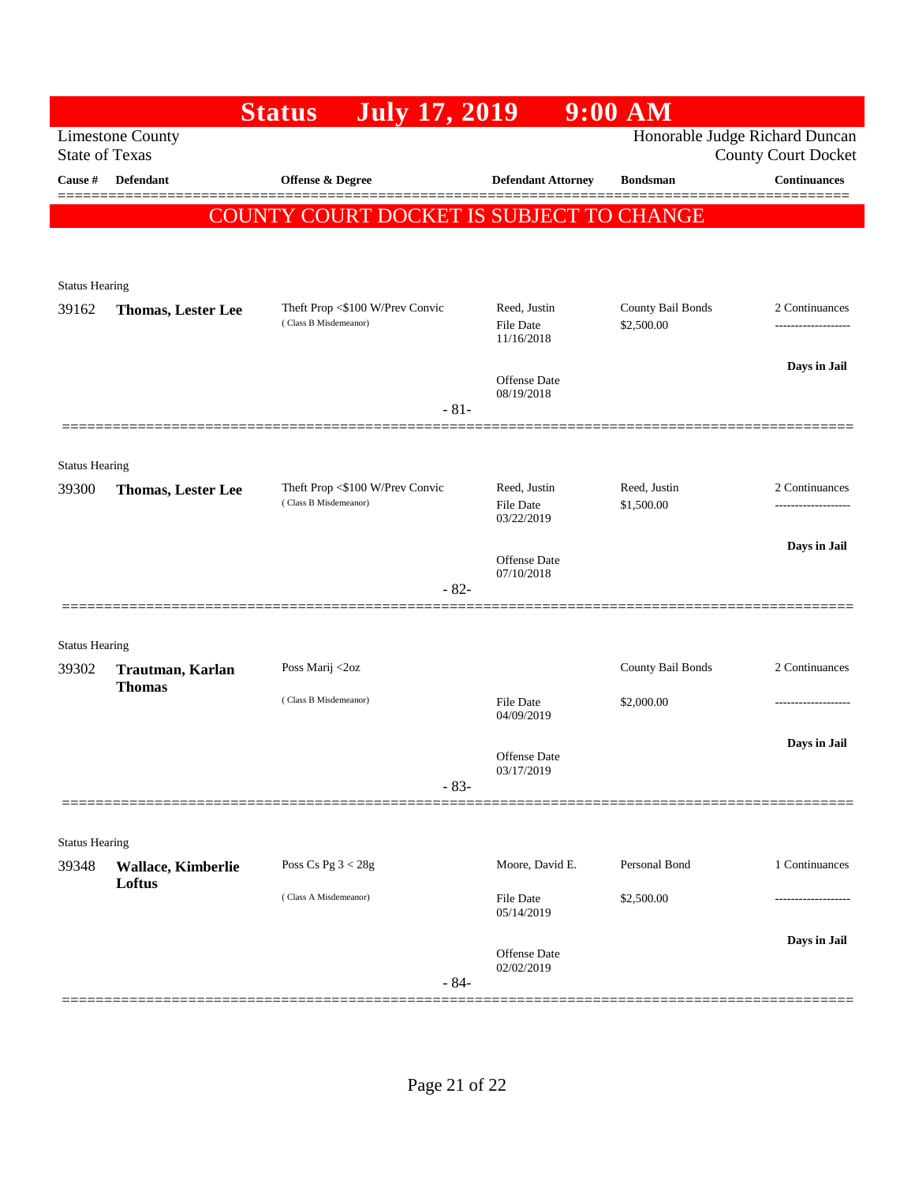|                                |                                                  | <b>July 17, 2019</b><br><b>Status</b>                    |                                | $9:00$ AM                      |                                      |
|--------------------------------|--------------------------------------------------|----------------------------------------------------------|--------------------------------|--------------------------------|--------------------------------------|
|                                | <b>Limestone County</b><br><b>State of Texas</b> |                                                          |                                | Honorable Judge Richard Duncan | <b>County Court Docket</b>           |
| Cause #                        | <b>Defendant</b>                                 | <b>Offense &amp; Degree</b>                              | <b>Defendant Attorney</b>      | <b>Bondsman</b>                | <b>Continuances</b>                  |
|                                |                                                  | COUNTY COURT DOCKET IS SUBJECT TO CHANGE                 |                                |                                |                                      |
|                                |                                                  |                                                          |                                |                                |                                      |
| <b>Status Hearing</b>          |                                                  |                                                          |                                |                                |                                      |
| 39162                          | <b>Thomas, Lester Lee</b>                        | Theft Prop <\$100 W/Prev Convic                          | Reed, Justin                   | County Bail Bonds              | 2 Continuances                       |
|                                |                                                  | (Class B Misdemeanor)                                    | File Date<br>11/16/2018        | \$2,500.00                     | ------------------                   |
|                                |                                                  |                                                          | <b>Offense Date</b>            |                                | Days in Jail                         |
|                                |                                                  | $-81-$                                                   | 08/19/2018                     |                                |                                      |
|                                |                                                  |                                                          |                                |                                |                                      |
| <b>Status Hearing</b>          |                                                  |                                                          |                                |                                |                                      |
| 39300                          | <b>Thomas, Lester Lee</b>                        | Theft Prop <\$100 W/Prev Convic<br>(Class B Misdemeanor) | Reed, Justin<br>File Date      | Reed, Justin<br>\$1,500.00     | 2 Continuances<br>------------------ |
|                                |                                                  |                                                          | 03/22/2019                     |                                |                                      |
|                                |                                                  |                                                          | Offense Date                   |                                | Days in Jail                         |
|                                |                                                  | $-82-$                                                   | 07/10/2018                     |                                |                                      |
|                                |                                                  |                                                          |                                |                                |                                      |
| <b>Status Hearing</b><br>39302 |                                                  | Poss Marij <2oz                                          |                                | County Bail Bonds              | 2 Continuances                       |
|                                | Trautman, Karlan<br><b>Thomas</b>                | (Class B Misdemeanor)                                    |                                |                                |                                      |
|                                |                                                  |                                                          | <b>File Date</b><br>04/09/2019 | \$2,000.00                     | -------------------                  |
|                                |                                                  |                                                          | <b>Offense</b> Date            |                                | Days in Jail                         |
|                                |                                                  | $-83-$                                                   | 03/17/2019                     |                                |                                      |
|                                |                                                  |                                                          |                                |                                |                                      |
| <b>Status Hearing</b>          |                                                  |                                                          |                                |                                |                                      |
| 39348                          | Wallace, Kimberlie<br>Loftus                     | Poss Cs Pg $3 < 28g$                                     | Moore, David E.                | Personal Bond                  | 1 Continuances                       |
|                                |                                                  | (Class A Misdemeanor)                                    | File Date<br>05/14/2019        | \$2,500.00                     |                                      |
|                                |                                                  |                                                          | Offense Date                   |                                | Days in Jail                         |
|                                |                                                  | $-84-$                                                   | 02/02/2019                     |                                |                                      |
|                                |                                                  |                                                          |                                |                                |                                      |